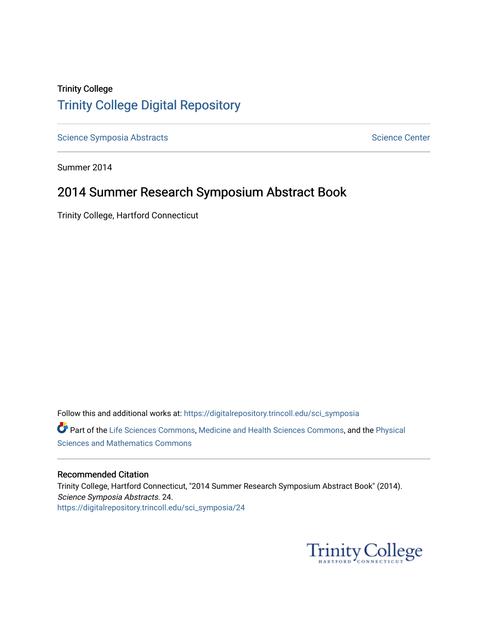## Trinity College [Trinity College Digital Repository](https://digitalrepository.trincoll.edu/)

[Science Symposia Abstracts](https://digitalrepository.trincoll.edu/sci_symposia) **Science Center** Science Center

Summer 2014

## 2014 Summer Research Symposium Abstract Book

Trinity College, Hartford Connecticut

Follow this and additional works at: [https://digitalrepository.trincoll.edu/sci\\_symposia](https://digitalrepository.trincoll.edu/sci_symposia?utm_source=digitalrepository.trincoll.edu%2Fsci_symposia%2F24&utm_medium=PDF&utm_campaign=PDFCoverPages)  Part of the [Life Sciences Commons,](http://network.bepress.com/hgg/discipline/1016?utm_source=digitalrepository.trincoll.edu%2Fsci_symposia%2F24&utm_medium=PDF&utm_campaign=PDFCoverPages) [Medicine and Health Sciences Commons,](http://network.bepress.com/hgg/discipline/648?utm_source=digitalrepository.trincoll.edu%2Fsci_symposia%2F24&utm_medium=PDF&utm_campaign=PDFCoverPages) and the Physical [Sciences and Mathematics Commons](http://network.bepress.com/hgg/discipline/114?utm_source=digitalrepository.trincoll.edu%2Fsci_symposia%2F24&utm_medium=PDF&utm_campaign=PDFCoverPages) 

#### Recommended Citation

Trinity College, Hartford Connecticut, "2014 Summer Research Symposium Abstract Book" (2014). Science Symposia Abstracts. 24. [https://digitalrepository.trincoll.edu/sci\\_symposia/24](https://digitalrepository.trincoll.edu/sci_symposia/24?utm_source=digitalrepository.trincoll.edu%2Fsci_symposia%2F24&utm_medium=PDF&utm_campaign=PDFCoverPages) 

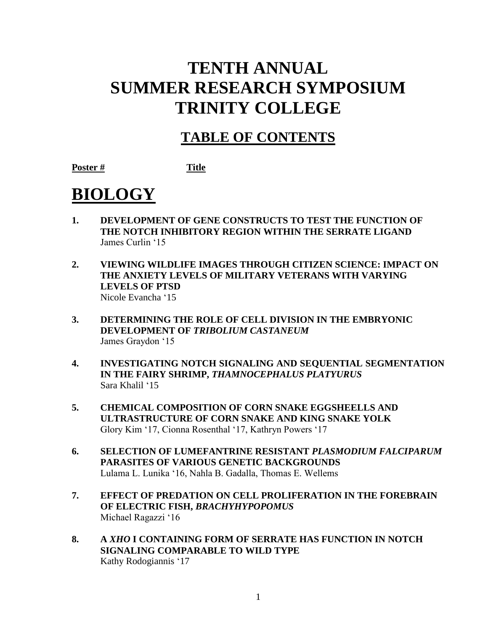# **TENTH ANNUAL SUMMER RESEARCH SYMPOSIUM TRINITY COLLEGE**

## **TABLE OF CONTENTS**

**Poster # Title**

# **BIOLOGY**

- **1. DEVELOPMENT OF GENE CONSTRUCTS TO TEST THE FUNCTION OF THE NOTCH INHIBITORY REGION WITHIN THE SERRATE LIGAND**  James Curlin '15
- **2. VIEWING WILDLIFE IMAGES THROUGH CITIZEN SCIENCE: IMPACT ON THE ANXIETY LEVELS OF MILITARY VETERANS WITH VARYING LEVELS OF PTSD** Nicole Evancha '15
- **3. DETERMINING THE ROLE OF CELL DIVISION IN THE EMBRYONIC DEVELOPMENT OF** *TRIBOLIUM CASTANEUM* James Graydon '15
- **4. INVESTIGATING NOTCH SIGNALING AND SEQUENTIAL SEGMENTATION IN THE FAIRY SHRIMP,** *THAMNOCEPHALUS PLATYURUS* Sara Khalil '15
- **5. CHEMICAL COMPOSITION OF CORN SNAKE EGGSHEELLS AND ULTRASTRUCTURE OF CORN SNAKE AND KING SNAKE YOLK** Glory Kim '17, Cionna Rosenthal '17, Kathryn Powers '17
- **6. SELECTION OF LUMEFANTRINE RESISTANT** *PLASMODIUM FALCIPARUM*  **PARASITES OF VARIOUS GENETIC BACKGROUNDS** Lulama L. Lunika '16, Nahla B. Gadalla, Thomas E. Wellems
- **7. EFFECT OF PREDATION ON CELL PROLIFERATION IN THE FOREBRAIN OF ELECTRIC FISH,** *BRACHYHYPOPOMUS* Michael Ragazzi '16
- **8. A** *XHO* **I CONTAINING FORM OF SERRATE HAS FUNCTION IN NOTCH SIGNALING COMPARABLE TO WILD TYPE** Kathy Rodogiannis '17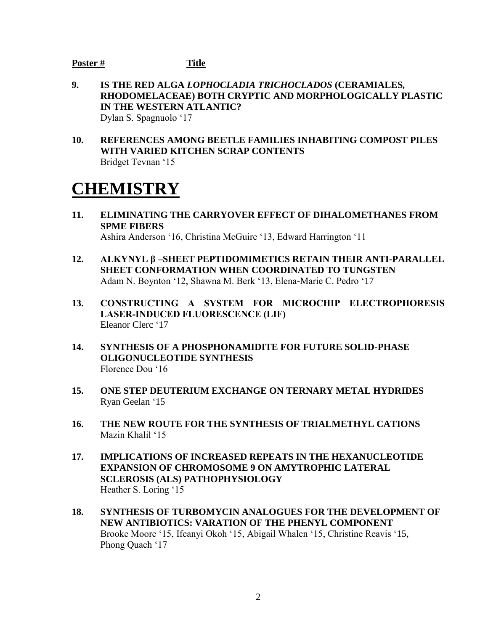- **9. IS THE RED ALGA** *LOPHOCLADIA TRICHOCLADOS* **(CERAMIALES***,*  **RHODOMELACEAE) BOTH CRYPTIC AND MORPHOLOGICALLY PLASTIC IN THE WESTERN ATLANTIC?** Dylan S. Spagnuolo '17
- **10. REFERENCES AMONG BEETLE FAMILIES INHABITING COMPOST PILES WITH VARIED KITCHEN SCRAP CONTENTS**  Bridget Tevnan '15

## **CHEMISTRY**

- **11. ELIMINATING THE CARRYOVER EFFECT OF DIHALOMETHANES FROM SPME FIBERS** Ashira Anderson '16, Christina McGuire '13, Edward Harrington '11
- **12. ALKYNYL β –SHEET PEPTIDOMIMETICS RETAIN THEIR ANTI-PARALLEL SHEET CONFORMATION WHEN COORDINATED TO TUNGSTEN** Adam N. Boynton '12, Shawna M. Berk '13, Elena-Marie C. Pedro '17
- **13. CONSTRUCTING A SYSTEM FOR MICROCHIP ELECTROPHORESIS LASER-INDUCED FLUORESCENCE (LIF)** Eleanor Clerc '17
- **14. SYNTHESIS OF A PHOSPHONAMIDITE FOR FUTURE SOLID-PHASE OLIGONUCLEOTIDE SYNTHESIS** Florence Dou '16
- **15. ONE STEP DEUTERIUM EXCHANGE ON TERNARY METAL HYDRIDES** Ryan Geelan '15
- **16. THE NEW ROUTE FOR THE SYNTHESIS OF TRIALMETHYL CATIONS** Mazin Khalil '15
- **17. IMPLICATIONS OF INCREASED REPEATS IN THE HEXANUCLEOTIDE EXPANSION OF CHROMOSOME 9 ON AMYTROPHIC LATERAL SCLEROSIS (ALS) PATHOPHYSIOLOGY** Heather S. Loring '15
- **18. SYNTHESIS OF TURBOMYCIN ANALOGUES FOR THE DEVELOPMENT OF NEW ANTIBIOTICS: VARATION OF THE PHENYL COMPONENT**  Brooke Moore '15, Ifeanyi Okoh '15, Abigail Whalen '15, Christine Reavis '15, Phong Quach '17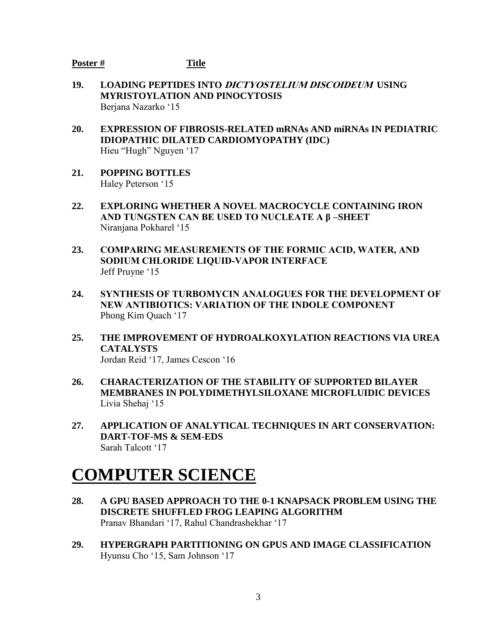- **19. LOADING PEPTIDES INTO DICTYOSTELIUM DISCOIDEUM USING MYRISTOYLATION AND PINOCYTOSIS** Berjana Nazarko '15
- **20. EXPRESSION OF FIBROSIS-RELATED mRNAs AND miRNAs IN PEDIATRIC IDIOPATHIC DILATED CARDIOMYOPATHY (IDC)**  Hieu "Hugh" Nguyen '17
- **21. POPPING BOTTLES**  Haley Peterson '15
- **22. EXPLORING WHETHER A NOVEL MACROCYCLE CONTAINING IRON AND TUNGSTEN CAN BE USED TO NUCLEATE A β –SHEET** Niranjana Pokharel '15
- **23. COMPARING MEASUREMENTS OF THE FORMIC ACID, WATER, AND SODIUM CHLORIDE LIQUID-VAPOR INTERFACE** Jeff Pruyne '15
- **24. SYNTHESIS OF TURBOMYCIN ANALOGUES FOR THE DEVELOPMENT OF NEW ANTIBIOTICS: VARIATION OF THE INDOLE COMPONENT** Phong Kim Quach '17
- **25. THE IMPROVEMENT OF HYDROALKOXYLATION REACTIONS VIA UREA CATALYSTS** Jordan Reid '17, James Cescon '16
- **26. CHARACTERIZATION OF THE STABILITY OF SUPPORTED BILAYER MEMBRANES IN POLYDIMETHYLSILOXANE MICROFLUIDIC DEVICES** Livia Shehaj '15
- **27. APPLICATION OF ANALYTICAL TECHNIQUES IN ART CONSERVATION: DART-TOF-MS & SEM-EDS** Sarah Talcott '17

# **COMPUTER SCIENCE**

- **28. A GPU BASED APPROACH TO THE 0-1 KNAPSACK PROBLEM USING THE DISCRETE SHUFFLED FROG LEAPING ALGORITHM** Pranav Bhandari '17, Rahul Chandrashekhar '17
- **29. HYPERGRAPH PARTITIONING ON GPUS AND IMAGE CLASSIFICATION** Hyunsu Cho '15, Sam Johnson '17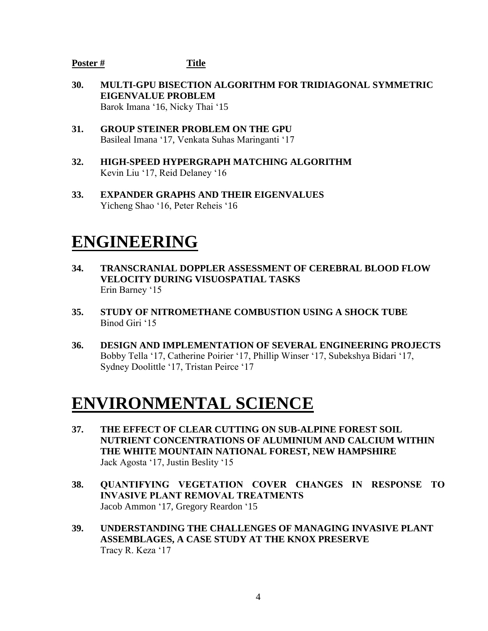- **30. MULTI-GPU BISECTION ALGORITHM FOR TRIDIAGONAL SYMMETRIC EIGENVALUE PROBLEM** Barok Imana '16, Nicky Thai '15
- **31. GROUP STEINER PROBLEM ON THE GPU** Basileal Imana '17, Venkata Suhas Maringanti '17
- **32. HIGH-SPEED HYPERGRAPH MATCHING ALGORITHM** Kevin Liu '17, Reid Delaney '16
- **33. EXPANDER GRAPHS AND THEIR EIGENVALUES** Yicheng Shao '16, Peter Reheis '16

## **ENGINEERING**

- **34. TRANSCRANIAL DOPPLER ASSESSMENT OF CEREBRAL BLOOD FLOW VELOCITY DURING VISUOSPATIAL TASKS** Erin Barney '15
- **35. STUDY OF NITROMETHANE COMBUSTION USING A SHOCK TUBE** Binod Giri '15
- **36. DESIGN AND IMPLEMENTATION OF SEVERAL ENGINEERING PROJECTS** Bobby Tella '17, Catherine Poirier '17, Phillip Winser '17, Subekshya Bidari '17, Sydney Doolittle '17, Tristan Peirce '17

## **ENVIRONMENTAL SCIENCE**

- **37. THE EFFECT OF CLEAR CUTTING ON SUB-ALPINE FOREST SOIL NUTRIENT CONCENTRATIONS OF ALUMINIUM AND CALCIUM WITHIN THE WHITE MOUNTAIN NATIONAL FOREST, NEW HAMPSHIRE** Jack Agosta '17, Justin Beslity '15
- **38. QUANTIFYING VEGETATION COVER CHANGES IN RESPONSE TO INVASIVE PLANT REMOVAL TREATMENTS** Jacob Ammon '17, Gregory Reardon '15
- **39. UNDERSTANDING THE CHALLENGES OF MANAGING INVASIVE PLANT ASSEMBLAGES, A CASE STUDY AT THE KNOX PRESERVE** Tracy R. Keza '17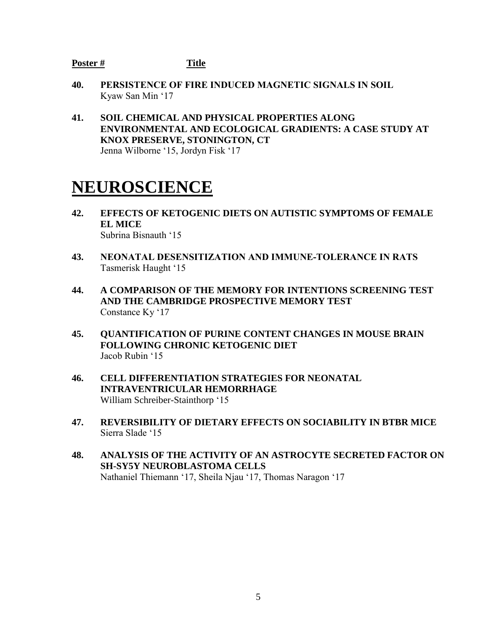- **40. PERSISTENCE OF FIRE INDUCED MAGNETIC SIGNALS IN SOIL** Kyaw San Min '17
- **41. SOIL CHEMICAL AND PHYSICAL PROPERTIES ALONG ENVIRONMENTAL AND ECOLOGICAL GRADIENTS: A CASE STUDY AT KNOX PRESERVE, STONINGTON, CT** Jenna Wilborne '15, Jordyn Fisk '17

## **NEUROSCIENCE**

- **42. EFFECTS OF KETOGENIC DIETS ON AUTISTIC SYMPTOMS OF FEMALE EL MICE** Subrina Bisnauth '15
- **43. NEONATAL DESENSITIZATION AND IMMUNE-TOLERANCE IN RATS** Tasmerisk Haught '15
- **44. A COMPARISON OF THE MEMORY FOR INTENTIONS SCREENING TEST AND THE CAMBRIDGE PROSPECTIVE MEMORY TEST** Constance Ky '17
- **45. QUANTIFICATION OF PURINE CONTENT CHANGES IN MOUSE BRAIN FOLLOWING CHRONIC KETOGENIC DIET** Jacob Rubin '15
- **46. CELL DIFFERENTIATION STRATEGIES FOR NEONATAL INTRAVENTRICULAR HEMORRHAGE** William Schreiber-Stainthorp '15
- **47. REVERSIBILITY OF DIETARY EFFECTS ON SOCIABILITY IN BTBR MICE** Sierra Slade '15
- **48. ANALYSIS OF THE ACTIVITY OF AN ASTROCYTE SECRETED FACTOR ON SH-SY5Y NEUROBLASTOMA CELLS**  Nathaniel Thiemann '17, Sheila Njau '17, Thomas Naragon '17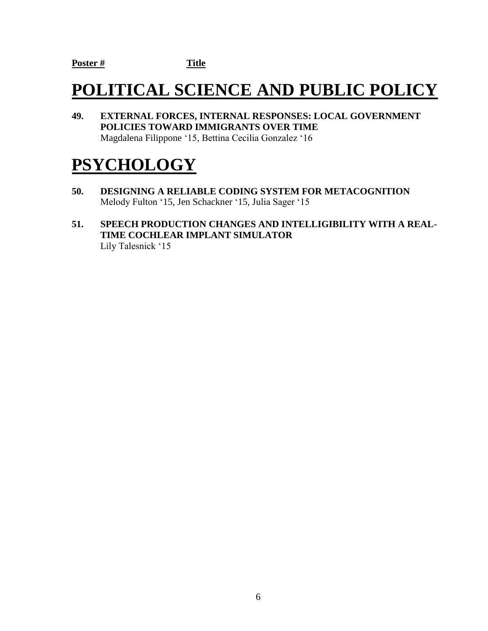# **POLITICAL SCIENCE AND PUBLIC POLICY**

**49. EXTERNAL FORCES, INTERNAL RESPONSES: LOCAL GOVERNMENT POLICIES TOWARD IMMIGRANTS OVER TIME** Magdalena Filippone '15, Bettina Cecilia Gonzalez '16

## **PSYCHOLOGY**

- **50. DESIGNING A RELIABLE CODING SYSTEM FOR METACOGNITION** Melody Fulton '15, Jen Schackner '15, Julia Sager '15
- **51. SPEECH PRODUCTION CHANGES AND INTELLIGIBILITY WITH A REAL-TIME COCHLEAR IMPLANT SIMULATOR** Lily Talesnick '15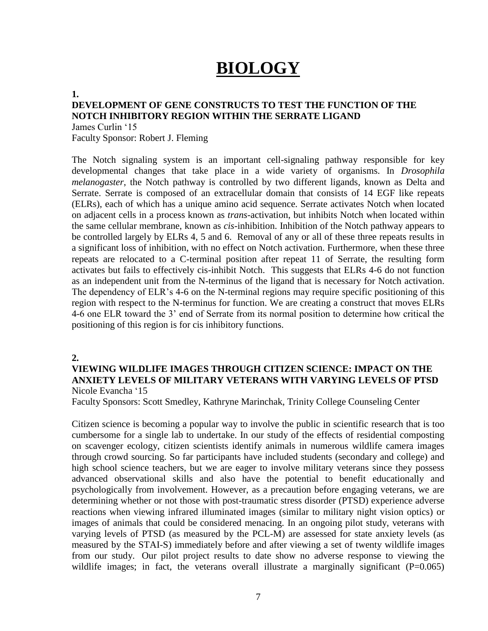## **BIOLOGY**

#### **1.**

### **DEVELOPMENT OF GENE CONSTRUCTS TO TEST THE FUNCTION OF THE NOTCH INHIBITORY REGION WITHIN THE SERRATE LIGAND**

James Curlin '15 Faculty Sponsor: Robert J. Fleming

The Notch signaling system is an important cell-signaling pathway responsible for key developmental changes that take place in a wide variety of organisms. In *Drosophila melanogaster*, the Notch pathway is controlled by two different ligands, known as Delta and Serrate. Serrate is composed of an extracellular domain that consists of 14 EGF like repeats (ELRs), each of which has a unique amino acid sequence. Serrate activates Notch when located on adjacent cells in a process known as *trans*-activation, but inhibits Notch when located within the same cellular membrane, known as *cis-*inhibition. Inhibition of the Notch pathway appears to be controlled largely by ELRs 4, 5 and 6. Removal of any or all of these three repeats results in a significant loss of inhibition, with no effect on Notch activation. Furthermore, when these three repeats are relocated to a C-terminal position after repeat 11 of Serrate, the resulting form activates but fails to effectively cis-inhibit Notch. This suggests that ELRs 4-6 do not function as an independent unit from the N-terminus of the ligand that is necessary for Notch activation. The dependency of ELR's 4-6 on the N-terminal regions may require specific positioning of this region with respect to the N-terminus for function. We are creating a construct that moves ELRs 4-6 one ELR toward the 3' end of Serrate from its normal position to determine how critical the positioning of this region is for cis inhibitory functions.

#### **2.**

#### **VIEWING WILDLIFE IMAGES THROUGH CITIZEN SCIENCE: IMPACT ON THE ANXIETY LEVELS OF MILITARY VETERANS WITH VARYING LEVELS OF PTSD** Nicole Evancha '15

Faculty Sponsors: Scott Smedley, Kathryne Marinchak, Trinity College Counseling Center

Citizen science is becoming a popular way to involve the public in scientific research that is too cumbersome for a single lab to undertake. In our study of the effects of residential composting on scavenger ecology, citizen scientists identify animals in numerous wildlife camera images through crowd sourcing. So far participants have included students (secondary and college) and high school science teachers, but we are eager to involve military veterans since they possess advanced observational skills and also have the potential to benefit educationally and psychologically from involvement. However, as a precaution before engaging veterans, we are determining whether or not those with post-traumatic stress disorder (PTSD) experience adverse reactions when viewing infrared illuminated images (similar to military night vision optics) or images of animals that could be considered menacing. In an ongoing pilot study, veterans with varying levels of PTSD (as measured by the PCL-M) are assessed for state anxiety levels (as measured by the STAI-S) immediately before and after viewing a set of twenty wildlife images from our study. Our pilot project results to date show no adverse response to viewing the wildlife images; in fact, the veterans overall illustrate a marginally significant  $(P=0.065)$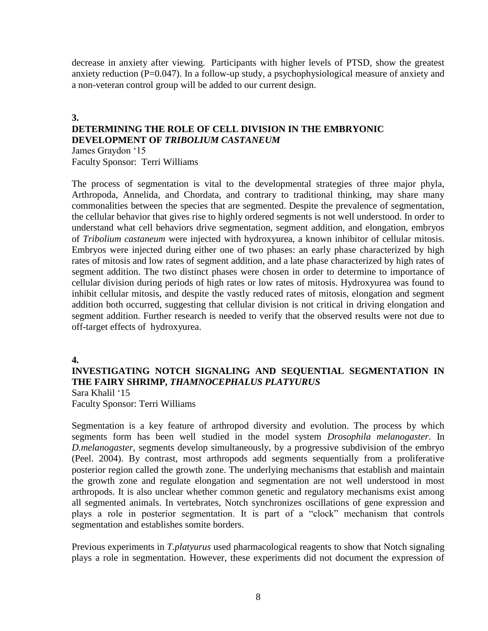decrease in anxiety after viewing. Participants with higher levels of PTSD, show the greatest anxiety reduction (P=0.047). In a follow-up study, a psychophysiological measure of anxiety and a non-veteran control group will be added to our current design.

#### **3.**

## **DETERMINING THE ROLE OF CELL DIVISION IN THE EMBRYONIC DEVELOPMENT OF** *TRIBOLIUM CASTANEUM*

James Graydon '15 Faculty Sponsor: Terri Williams

The process of segmentation is vital to the developmental strategies of three major phyla, Arthropoda, Annelida, and Chordata, and contrary to traditional thinking, may share many commonalities between the species that are segmented. Despite the prevalence of segmentation, the cellular behavior that gives rise to highly ordered segments is not well understood. In order to understand what cell behaviors drive segmentation, segment addition, and elongation, embryos of *Tribolium castaneum* were injected with hydroxyurea, a known inhibitor of cellular mitosis. Embryos were injected during either one of two phases: an early phase characterized by high rates of mitosis and low rates of segment addition, and a late phase characterized by high rates of segment addition. The two distinct phases were chosen in order to determine to importance of cellular division during periods of high rates or low rates of mitosis. Hydroxyurea was found to inhibit cellular mitosis, and despite the vastly reduced rates of mitosis, elongation and segment addition both occurred, suggesting that cellular division is not critical in driving elongation and segment addition. Further research is needed to verify that the observed results were not due to off-target effects of hydroxyurea.

#### **4.**

## **INVESTIGATING NOTCH SIGNALING AND SEQUENTIAL SEGMENTATION IN THE FAIRY SHRIMP,** *THAMNOCEPHALUS PLATYURUS*

Sara Khalil '15 Faculty Sponsor: Terri Williams

Segmentation is a key feature of arthropod diversity and evolution. The process by which segments form has been well studied in the model system *Drosophila melanogaster*. In *D.melanogaster*, segments develop simultaneously, by a progressive subdivision of the embryo (Peel. 2004). By contrast, most arthropods add segments sequentially from a proliferative posterior region called the growth zone. The underlying mechanisms that establish and maintain the growth zone and regulate elongation and segmentation are not well understood in most arthropods. It is also unclear whether common genetic and regulatory mechanisms exist among all segmented animals. In vertebrates, Notch synchronizes oscillations of gene expression and plays a role in posterior segmentation. It is part of a "clock" mechanism that controls segmentation and establishes somite borders.

Previous experiments in *T.platyurus* used pharmacological reagents to show that Notch signaling plays a role in segmentation. However, these experiments did not document the expression of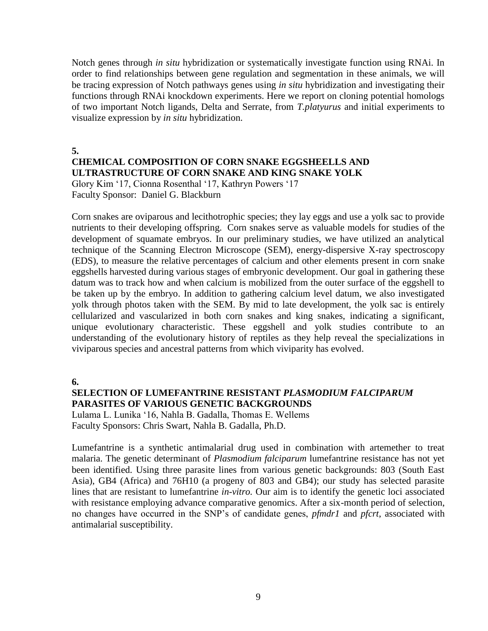Notch genes through *in situ* hybridization or systematically investigate function using RNAi. In order to find relationships between gene regulation and segmentation in these animals, we will be tracing expression of Notch pathways genes using *in situ* hybridization and investigating their functions through RNAi knockdown experiments. Here we report on cloning potential homologs of two important Notch ligands, Delta and Serrate, from *T.platyurus* and initial experiments to visualize expression by *in situ* hybridization.

**5. CHEMICAL COMPOSITION OF CORN SNAKE EGGSHEELLS AND ULTRASTRUCTURE OF CORN SNAKE AND KING SNAKE YOLK** Glory Kim '17, Cionna Rosenthal '17, Kathryn Powers '17

Faculty Sponsor: Daniel G. Blackburn

Corn snakes are oviparous and lecithotrophic species; they lay eggs and use a yolk sac to provide nutrients to their developing offspring. Corn snakes serve as valuable models for studies of the development of squamate embryos. In our preliminary studies, we have utilized an analytical technique of the Scanning Electron Microscope (SEM), energy-dispersive X-ray spectroscopy (EDS), to measure the relative percentages of calcium and other elements present in corn snake eggshells harvested during various stages of embryonic development. Our goal in gathering these datum was to track how and when calcium is mobilized from the outer surface of the eggshell to be taken up by the embryo. In addition to gathering calcium level datum, we also investigated yolk through photos taken with the SEM. By mid to late development, the yolk sac is entirely cellularized and vascularized in both corn snakes and king snakes, indicating a significant, unique evolutionary characteristic. These eggshell and yolk studies contribute to an understanding of the evolutionary history of reptiles as they help reveal the specializations in viviparous species and ancestral patterns from which viviparity has evolved.

**6.**

#### **SELECTION OF LUMEFANTRINE RESISTANT** *PLASMODIUM FALCIPARUM*  **PARASITES OF VARIOUS GENETIC BACKGROUNDS**

Lulama L. Lunika '16, Nahla B. Gadalla, Thomas E. Wellems Faculty Sponsors: Chris Swart, Nahla B. Gadalla, Ph.D.

Lumefantrine is a synthetic antimalarial drug used in combination with artemether to treat malaria. The genetic determinant of *Plasmodium falciparum* lumefantrine resistance has not yet been identified. Using three parasite lines from various genetic backgrounds: 803 (South East Asia), GB4 (Africa) and 76H10 (a progeny of 803 and GB4); our study has selected parasite lines that are resistant to lumefantrine *in-vitro.* Our aim is to identify the genetic loci associated with resistance employing advance comparative genomics. After a six-month period of selection, no changes have occurred in the SNP's of candidate genes, *pfmdr1* and *pfcrt*, associated with antimalarial susceptibility.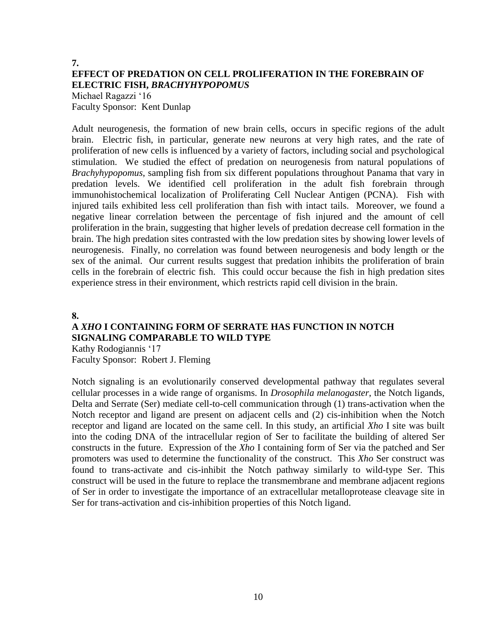## **7. EFFECT OF PREDATION ON CELL PROLIFERATION IN THE FOREBRAIN OF ELECTRIC FISH,** *BRACHYHYPOPOMUS*

Michael Ragazzi '16 Faculty Sponsor: Kent Dunlap

Adult neurogenesis, the formation of new brain cells, occurs in specific regions of the adult brain. Electric fish, in particular, generate new neurons at very high rates, and the rate of proliferation of new cells is influenced by a variety of factors, including social and psychological stimulation. We studied the effect of predation on neurogenesis from natural populations of *Brachyhypopomus*, sampling fish from six different populations throughout Panama that vary in predation levels. We identified cell proliferation in the adult fish forebrain through immunohistochemical localization of Proliferating Cell Nuclear Antigen (PCNA). Fish with injured tails exhibited less cell proliferation than fish with intact tails. Moreover, we found a negative linear correlation between the percentage of fish injured and the amount of cell proliferation in the brain, suggesting that higher levels of predation decrease cell formation in the brain. The high predation sites contrasted with the low predation sites by showing lower levels of neurogenesis. Finally, no correlation was found between neurogenesis and body length or the sex of the animal. Our current results suggest that predation inhibits the proliferation of brain cells in the forebrain of electric fish. This could occur because the fish in high predation sites experience stress in their environment, which restricts rapid cell division in the brain.

#### **8.**

## **A** *XHO* **I CONTAINING FORM OF SERRATE HAS FUNCTION IN NOTCH SIGNALING COMPARABLE TO WILD TYPE**

Kathy Rodogiannis '17 Faculty Sponsor: Robert J. Fleming

Notch signaling is an evolutionarily conserved developmental pathway that regulates several cellular processes in a wide range of organisms. In *Drosophila melanogaster*, the Notch ligands, Delta and Serrate (Ser) mediate cell-to-cell communication through (1) trans-activation when the Notch receptor and ligand are present on adjacent cells and (2) cis-inhibition when the Notch receptor and ligand are located on the same cell. In this study, an artificial *Xho* I site was built into the coding DNA of the intracellular region of Ser to facilitate the building of altered Ser constructs in the future. Expression of the *Xho* I containing form of Ser via the patched and Ser promoters was used to determine the functionality of the construct. This *Xho* Ser construct was found to trans-activate and cis-inhibit the Notch pathway similarly to wild-type Ser. This construct will be used in the future to replace the transmembrane and membrane adjacent regions of Ser in order to investigate the importance of an extracellular metalloprotease cleavage site in Ser for trans-activation and cis-inhibition properties of this Notch ligand.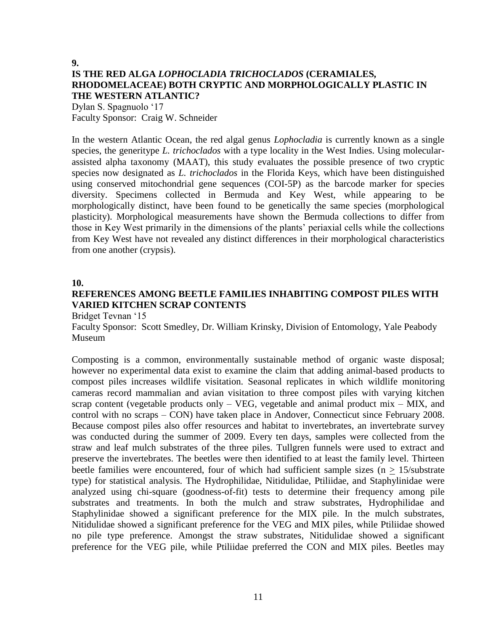## **9. IS THE RED ALGA** *LOPHOCLADIA TRICHOCLADOS* **(CERAMIALES***,*  **RHODOMELACEAE) BOTH CRYPTIC AND MORPHOLOGICALLY PLASTIC IN THE WESTERN ATLANTIC?**

Dylan S. Spagnuolo '17 Faculty Sponsor: Craig W. Schneider

In the western Atlantic Ocean, the red algal genus *Lophocladia* is currently known as a single species, the generitype *L. trichoclados* with a type locality in the West Indies. Using molecularassisted alpha taxonomy (MAAT), this study evaluates the possible presence of two cryptic species now designated as *L. trichoclados* in the Florida Keys, which have been distinguished using conserved mitochondrial gene sequences (COI-5P) as the barcode marker for species diversity. Specimens collected in Bermuda and Key West, while appearing to be morphologically distinct, have been found to be genetically the same species (morphological plasticity). Morphological measurements have shown the Bermuda collections to differ from those in Key West primarily in the dimensions of the plants' periaxial cells while the collections from Key West have not revealed any distinct differences in their morphological characteristics from one another (crypsis).

#### **10.**

## **REFERENCES AMONG BEETLE FAMILIES INHABITING COMPOST PILES WITH VARIED KITCHEN SCRAP CONTENTS**

Bridget Tevnan '15

Faculty Sponsor: Scott Smedley, Dr. William Krinsky, Division of Entomology, Yale Peabody Museum

Composting is a common, environmentally sustainable method of organic waste disposal; however no experimental data exist to examine the claim that adding animal-based products to compost piles increases wildlife visitation. Seasonal replicates in which wildlife monitoring cameras record mammalian and avian visitation to three compost piles with varying kitchen scrap content (vegetable products only  $-$  VEG, vegetable and animal product mix  $-$  MIX, and control with no scraps – CON) have taken place in Andover, Connecticut since February 2008. Because compost piles also offer resources and habitat to invertebrates, an invertebrate survey was conducted during the summer of 2009. Every ten days, samples were collected from the straw and leaf mulch substrates of the three piles. Tullgren funnels were used to extract and preserve the invertebrates. The beetles were then identified to at least the family level. Thirteen beetle families were encountered, four of which had sufficient sample sizes ( $n > 15$ /substrate type) for statistical analysis. The Hydrophilidae, Nitidulidae, Ptiliidae, and Staphylinidae were analyzed using chi-square (goodness-of-fit) tests to determine their frequency among pile substrates and treatments. In both the mulch and straw substrates, Hydrophilidae and Staphylinidae showed a significant preference for the MIX pile. In the mulch substrates, Nitidulidae showed a significant preference for the VEG and MIX piles, while Ptiliidae showed no pile type preference. Amongst the straw substrates, Nitidulidae showed a significant preference for the VEG pile, while Ptiliidae preferred the CON and MIX piles. Beetles may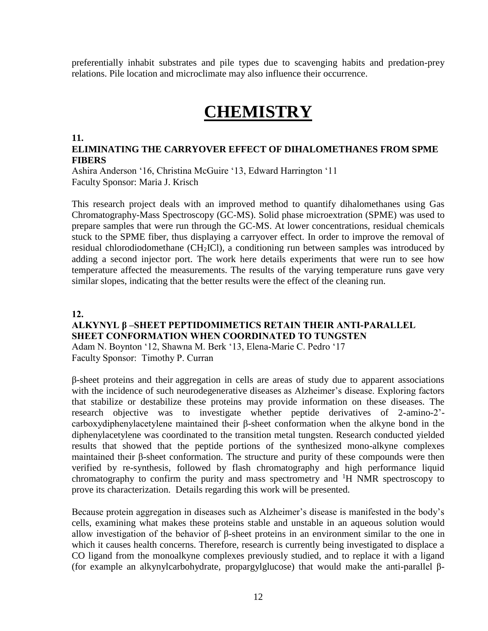preferentially inhabit substrates and pile types due to scavenging habits and predation-prey relations. Pile location and microclimate may also influence their occurrence.

## **CHEMISTRY**

#### **11.**

#### **ELIMINATING THE CARRYOVER EFFECT OF DIHALOMETHANES FROM SPME FIBERS**

Ashira Anderson '16, Christina McGuire '13, Edward Harrington '11 Faculty Sponsor: Maria J. Krisch

This research project deals with an improved method to quantify dihalomethanes using Gas Chromatography-Mass Spectroscopy (GC-MS). Solid phase microextration (SPME) was used to prepare samples that were run through the GC-MS. At lower concentrations, residual chemicals stuck to the SPME fiber, thus displaying a carryover effect. In order to improve the removal of residual chlorodiodomethane (CH<sub>2</sub>ICl), a conditioning run between samples was introduced by adding a second injector port. The work here details experiments that were run to see how temperature affected the measurements. The results of the varying temperature runs gave very similar slopes, indicating that the better results were the effect of the cleaning run.

#### 12.

### ALKYNYL β –SHEET PEPTIDOMIMETICS RETAIN THEIR ANTI-PARALLEL SHEET CONFORMATION WHEN COORDINATED TO TUNGSTEN

Adam N. Boynton '12, Shawna M. Berk '13, Elena-Marie C. Pedro '17 Faculty Sponsor: Timothy P. Curran

β-sheet proteins and their aggregation in cells are areas of study due to apparent associations with the incidence of such neurodegenerative diseases as Alzheimer's disease. Exploring factors that stabilize or destabilize these proteins may provide information on these diseases. The research objective was to investigate whether peptide derivatives of 2-amino-2' carboxydiphenylacetylene maintained their β-sheet conformation when the alkyne bond in the diphenylacetylene was coordinated to the transition metal tungsten. Research conducted yielded results that showed that the peptide portions of the synthesized mono-alkyne complexes maintained their β-sheet conformation. The structure and purity of these compounds were then verified by re-synthesis, followed by flash chromatography and high performance liquid chromatography to confirm the purity and mass spectrometry and  ${}^{1}H$  NMR spectroscopy to prove its characterization. Details regarding this work will be presented.

Because protein aggregation in diseases such as Alzheimer's disease is manifested in the body's cells, examining what makes these proteins stable and unstable in an aqueous solution would allow investigation of the behavior of β-sheet proteins in an environment similar to the one in which it causes health concerns. Therefore, research is currently being investigated to displace a CO ligand from the monoalkyne complexes previously studied, and to replace it with a ligand (for example an alkynylcarbohydrate, propargylglucose) that would make the anti-parallel β-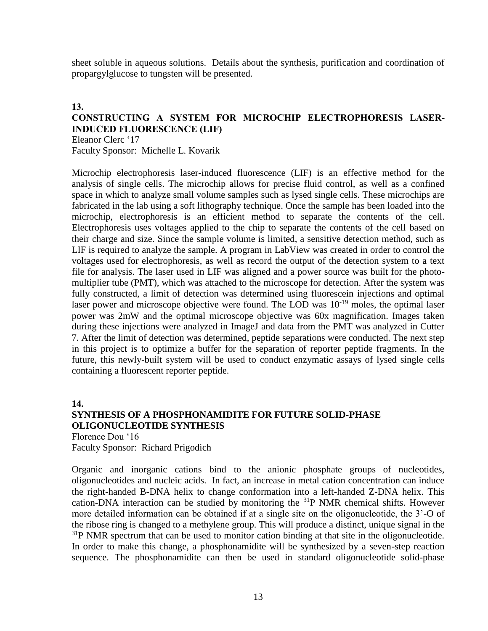sheet soluble in aqueous solutions. Details about the synthesis, purification and coordination of propargylglucose to tungsten will be presented.

#### **13.**

#### **CONSTRUCTING A SYSTEM FOR MICROCHIP ELECTROPHORESIS LASER-INDUCED FLUORESCENCE (LIF)** Eleanor Clerc '17

Faculty Sponsor: Michelle L. Kovarik

Microchip electrophoresis laser-induced fluorescence (LIF) is an effective method for the analysis of single cells. The microchip allows for precise fluid control, as well as a confined space in which to analyze small volume samples such as lysed single cells. These microchips are fabricated in the lab using a soft lithography technique. Once the sample has been loaded into the microchip, electrophoresis is an efficient method to separate the contents of the cell. Electrophoresis uses voltages applied to the chip to separate the contents of the cell based on their charge and size. Since the sample volume is limited, a sensitive detection method, such as LIF is required to analyze the sample. A program in LabView was created in order to control the voltages used for electrophoresis, as well as record the output of the detection system to a text file for analysis. The laser used in LIF was aligned and a power source was built for the photomultiplier tube (PMT), which was attached to the microscope for detection. After the system was fully constructed, a limit of detection was determined using fluorescein injections and optimal laser power and microscope objective were found. The LOD was  $10^{-19}$  moles, the optimal laser power was 2mW and the optimal microscope objective was 60x magnification. Images taken during these injections were analyzed in ImageJ and data from the PMT was analyzed in Cutter 7. After the limit of detection was determined, peptide separations were conducted. The next step in this project is to optimize a buffer for the separation of reporter peptide fragments. In the future, this newly-built system will be used to conduct enzymatic assays of lysed single cells containing a fluorescent reporter peptide.

**14.**

## **SYNTHESIS OF A PHOSPHONAMIDITE FOR FUTURE SOLID-PHASE OLIGONUCLEOTIDE SYNTHESIS**

Florence Dou '16 Faculty Sponsor: Richard Prigodich

Organic and inorganic cations bind to the anionic phosphate groups of nucleotides, oligonucleotides and nucleic acids. In fact, an increase in metal cation concentration can induce the right-handed B-DNA helix to change conformation into a left-handed Z-DNA helix. This cation-DNA interaction can be studied by monitoring the <sup>31</sup>P NMR chemical shifts. However more detailed information can be obtained if at a single site on the oligonucleotide, the 3'-O of the ribose ring is changed to a methylene group. This will produce a distinct, unique signal in the  $31P$  NMR spectrum that can be used to monitor cation binding at that site in the oligonucleotide. In order to make this change, a phosphonamidite will be synthesized by a seven-step reaction sequence. The phosphonamidite can then be used in standard oligonucleotide solid-phase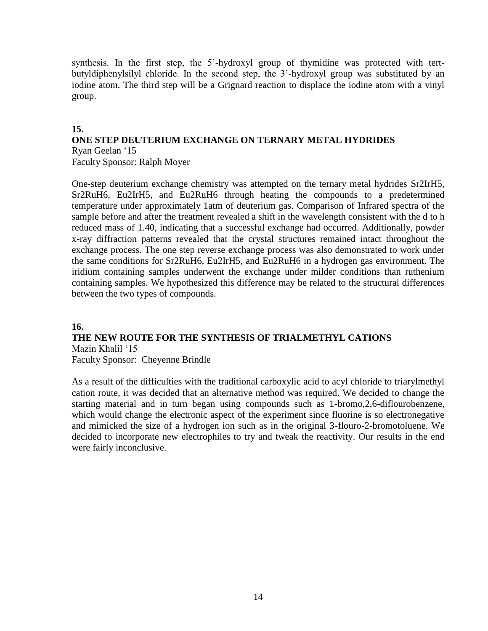synthesis. In the first step, the 5'-hydroxyl group of thymidine was protected with tertbutyldiphenylsilyl chloride. In the second step, the 3'-hydroxyl group was substituted by an iodine atom. The third step will be a Grignard reaction to displace the iodine atom with a vinyl group.

### **15.**

#### **ONE STEP DEUTERIUM EXCHANGE ON TERNARY METAL HYDRIDES** Ryan Geelan '15

Faculty Sponsor: Ralph Moyer

One-step deuterium exchange chemistry was attempted on the ternary metal hydrides Sr2IrH5, Sr2RuH6, Eu2IrH5, and Eu2RuH6 through heating the compounds to a predetermined temperature under approximately 1atm of deuterium gas. Comparison of Infrared spectra of the sample before and after the treatment revealed a shift in the wavelength consistent with the d to h reduced mass of 1.40, indicating that a successful exchange had occurred. Additionally, powder x-ray diffraction patterns revealed that the crystal structures remained intact throughout the exchange process. The one step reverse exchange process was also demonstrated to work under the same conditions for Sr2RuH6, Eu2IrH5, and Eu2RuH6 in a hydrogen gas environment. The iridium containing samples underwent the exchange under milder conditions than ruthenium containing samples. We hypothesized this difference may be related to the structural differences between the two types of compounds.

### **16.**

## **THE NEW ROUTE FOR THE SYNTHESIS OF TRIALMETHYL CATIONS**

Mazin Khalil '15 Faculty Sponsor: Cheyenne Brindle

As a result of the difficulties with the traditional carboxylic acid to acyl chloride to triarylmethyl cation route, it was decided that an alternative method was required. We decided to change the starting material and in turn began using compounds such as 1-bromo,2,6-diflourobenzene, which would change the electronic aspect of the experiment since fluorine is so electronegative and mimicked the size of a hydrogen ion such as in the original 3-flouro-2-bromotoluene. We decided to incorporate new electrophiles to try and tweak the reactivity. Our results in the end were fairly inconclusive.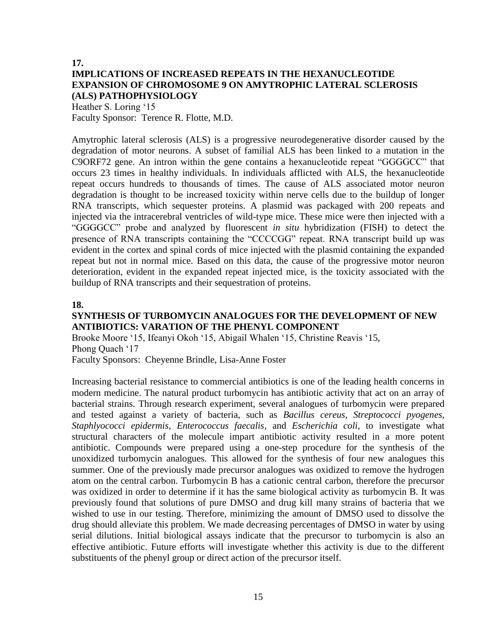#### **17. IMPLICATIONS OF INCREASED REPEATS IN THE HEXANUCLEOTIDE EXPANSION OF CHROMOSOME 9 ON AMYTROPHIC LATERAL SCLEROSIS (ALS) PATHOPHYSIOLOGY**

Heather S. Loring '15 Faculty Sponsor: Terence R. Flotte, M.D.

Amytrophic lateral sclerosis (ALS) is a progressive neurodegenerative disorder caused by the degradation of motor neurons. A subset of familial ALS has been linked to a mutation in the C9ORF72 gene. An intron within the gene contains a hexanucleotide repeat "GGGGCC" that occurs 23 times in healthy individuals. In individuals afflicted with ALS, the hexanucleotide repeat occurs hundreds to thousands of times. The cause of ALS associated motor neuron degradation is thought to be increased toxicity within nerve cells due to the buildup of longer RNA transcripts, which sequester proteins. A plasmid was packaged with 200 repeats and injected via the intracerebral ventricles of wild-type mice. These mice were then injected with a "GGGGCC" probe and analyzed by fluorescent *in situ* hybridization (FISH) to detect the presence of RNA transcripts containing the "CCCCGG" repeat. RNA transcript build up was evident in the cortex and spinal cords of mice injected with the plasmid containing the expanded repeat but not in normal mice. Based on this data, the cause of the progressive motor neuron deterioration, evident in the expanded repeat injected mice, is the toxicity associated with the buildup of RNA transcripts and their sequestration of proteins.

#### **18.**

### **SYNTHESIS OF TURBOMYCIN ANALOGUES FOR THE DEVELOPMENT OF NEW ANTIBIOTICS: VARATION OF THE PHENYL COMPONENT**

Brooke Moore '15, Ifeanyi Okoh '15, Abigail Whalen '15, Christine Reavis '15, Phong Quach '17

Faculty Sponsors: Cheyenne Brindle, Lisa-Anne Foster

Increasing bacterial resistance to commercial antibiotics is one of the leading health concerns in modern medicine. The natural product turbomycin has antibiotic activity that act on an array of bacterial strains. Through research experiment, several analogues of turbomycin were prepared and tested against a variety of bacteria, such as *Bacillus cereus, Streptococci pyogenes, Staphlyococci epidermis, Enterococcus faecalis,* and *Escherichia coli*, to investigate what structural characters of the molecule impart antibiotic activity resulted in a more potent antibiotic. Compounds were prepared using a one-step procedure for the synthesis of the unoxidized turbomycin analogues. This allowed for the synthesis of four new analogues this summer. One of the previously made precursor analogues was oxidized to remove the hydrogen atom on the central carbon. Turbomycin B has a cationic central carbon, therefore the precursor was oxidized in order to determine if it has the same biological activity as turbomycin B. It was previously found that solutions of pure DMSO and drug kill many strains of bacteria that we wished to use in our testing. Therefore, minimizing the amount of DMSO used to dissolve the drug should alleviate this problem. We made decreasing percentages of DMSO in water by using serial dilutions. Initial biological assays indicate that the precursor to turbomycin is also an effective antibiotic. Future efforts will investigate whether this activity is due to the different substituents of the phenyl group or direct action of the precursor itself.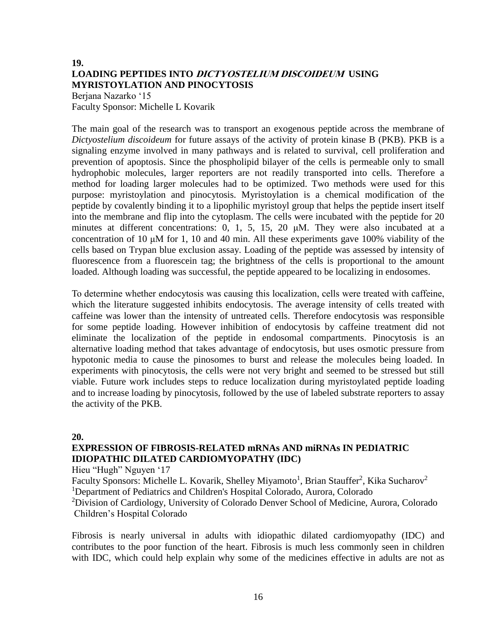## **19. LOADING PEPTIDES INTO DICTYOSTELIUM DISCOIDEUM USING MYRISTOYLATION AND PINOCYTOSIS**

Berjana Nazarko '15 Faculty Sponsor: Michelle L Kovarik

The main goal of the research was to transport an exogenous peptide across the membrane of *Dictyostelium discoideum* for future assays of the activity of protein kinase B (PKB). PKB is a signaling enzyme involved in many pathways and is related to survival, cell proliferation and prevention of apoptosis. Since the phospholipid bilayer of the cells is permeable only to small hydrophobic molecules, larger reporters are not readily transported into cells. Therefore a method for loading larger molecules had to be optimized. Two methods were used for this purpose: myristoylation and pinocytosis. Myristoylation is a chemical modification of the peptide by covalently binding it to a lipophilic myristoyl group that helps the peptide insert itself into the membrane and flip into the cytoplasm. The cells were incubated with the peptide for 20 minutes at different concentrations: 0, 1, 5, 15, 20 μΜ. They were also incubated at a concentration of 10 μΜ for 1, 10 and 40 min. All these experiments gave 100% viability of the cells based on Trypan blue exclusion assay. Loading of the peptide was assessed by intensity of fluorescence from a fluorescein tag; the brightness of the cells is proportional to the amount loaded. Although loading was successful, the peptide appeared to be localizing in endosomes.

To determine whether endocytosis was causing this localization, cells were treated with caffeine, which the literature suggested inhibits endocytosis. The average intensity of cells treated with caffeine was lower than the intensity of untreated cells. Therefore endocytosis was responsible for some peptide loading. However inhibition of endocytosis by caffeine treatment did not eliminate the localization of the peptide in endosomal compartments. Pinocytosis is an alternative loading method that takes advantage of endocytosis, but uses osmotic pressure from hypotonic media to cause the pinosomes to burst and release the molecules being loaded. In experiments with pinocytosis, the cells were not very bright and seemed to be stressed but still viable. Future work includes steps to reduce localization during myristoylated peptide loading and to increase loading by pinocytosis, followed by the use of labeled substrate reporters to assay the activity of the PKB.

**20.**

### **EXPRESSION OF FIBROSIS-RELATED mRNAs AND miRNAs IN PEDIATRIC IDIOPATHIC DILATED CARDIOMYOPATHY (IDC)**

Hieu "Hugh" Nguyen '17

Faculty Sponsors: Michelle L. Kovarik, Shelley Miyamoto<sup>1</sup>, Brian Stauffer<sup>2</sup>, Kika Sucharov<sup>2</sup> <sup>1</sup>Department of Pediatrics and Children's Hospital Colorado, Aurora, Colorado

<sup>2</sup>Division of Cardiology, University of Colorado Denver School of Medicine, Aurora, Colorado Children's Hospital Colorado

Fibrosis is nearly universal in adults with idiopathic dilated cardiomyopathy (IDC) and contributes to the poor function of the heart. Fibrosis is much less commonly seen in children with IDC, which could help explain why some of the medicines effective in adults are not as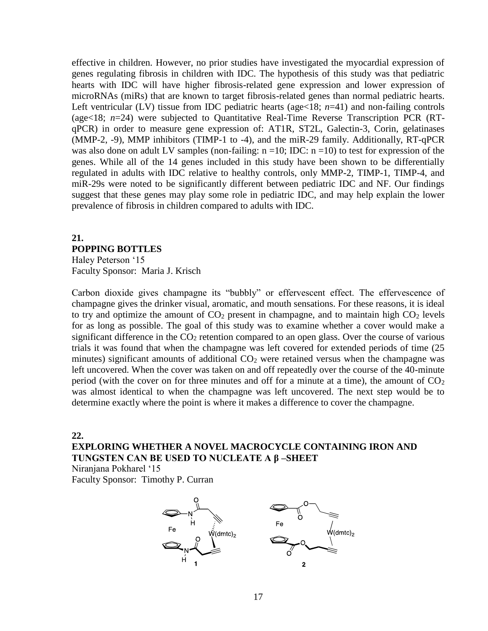effective in children. However, no prior studies have investigated the myocardial expression of genes regulating fibrosis in children with IDC. The hypothesis of this study was that pediatric hearts with IDC will have higher fibrosis-related gene expression and lower expression of microRNAs (miRs) that are known to target fibrosis-related genes than normal pediatric hearts. Left ventricular (LV) tissue from IDC pediatric hearts (age<18; *n*=41) and non-failing controls (age<18; *n*=24) were subjected to Quantitative Real-Time Reverse Transcription PCR (RTqPCR) in order to measure gene expression of: AT1R, ST2L, Galectin-3, Corin, gelatinases (MMP-2, -9), MMP inhibitors (TIMP-1 to -4), and the miR-29 family. Additionally, RT-qPCR was also done on adult LV samples (non-failing:  $n = 10$ ; IDC:  $n = 10$ ) to test for expression of the genes. While all of the 14 genes included in this study have been shown to be differentially regulated in adults with IDC relative to healthy controls, only MMP-2, TIMP-1, TIMP-4, and miR-29s were noted to be significantly different between pediatric IDC and NF. Our findings suggest that these genes may play some role in pediatric IDC, and may help explain the lower prevalence of fibrosis in children compared to adults with IDC.

### **21. POPPING BOTTLES**  Haley Peterson '15 Faculty Sponsor: Maria J. Krisch

Carbon dioxide gives champagne its "bubbly" or effervescent effect. The effervescence of champagne gives the drinker visual, aromatic, and mouth sensations. For these reasons, it is ideal to try and optimize the amount of  $CO<sub>2</sub>$  present in champagne, and to maintain high  $CO<sub>2</sub>$  levels for as long as possible. The goal of this study was to examine whether a cover would make a significant difference in the  $CO<sub>2</sub>$  retention compared to an open glass. Over the course of various trials it was found that when the champagne was left covered for extended periods of time (25 minutes) significant amounts of additional  $CO<sub>2</sub>$  were retained versus when the champagne was left uncovered. When the cover was taken on and off repeatedly over the course of the 40-minute period (with the cover on for three minutes and off for a minute at a time), the amount of  $CO<sub>2</sub>$ was almost identical to when the champagne was left uncovered. The next step would be to determine exactly where the point is where it makes a difference to cover the champagne.

#### **22.**

**EXPLORING WHETHER A NOVEL MACROCYCLE CONTAINING IRON AND TUNGSTEN CAN BE USED TO NUCLEATE A β –SHEET**

Niranjana Pokharel '15 Faculty Sponsor: Timothy P. Curran

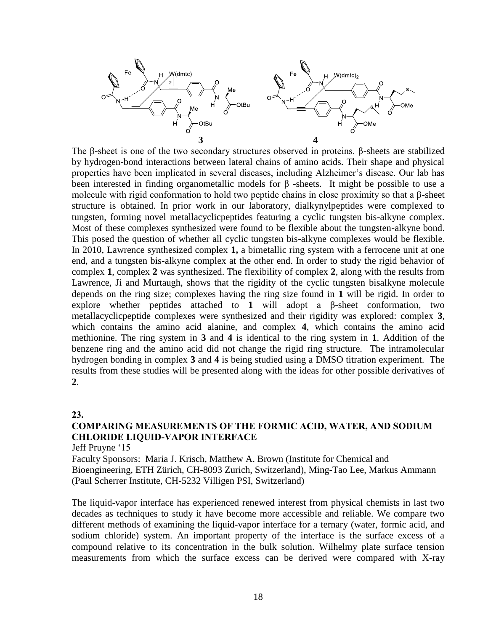

The β-sheet is one of the two secondary structures observed in proteins. β-sheets are stabilized by hydrogen-bond interactions between lateral chains of amino acids. Their shape and physical properties have been implicated in several diseases, including Alzheimer's disease. Our lab has been interested in finding organometallic models for β -sheets. It might be possible to use a molecule with rigid conformation to hold two peptide chains in close proximity so that a β-sheet structure is obtained. In prior work in our laboratory, dialkynylpeptides were complexed to tungsten, forming novel metallacyclicpeptides featuring a cyclic tungsten bis-alkyne complex. Most of these complexes synthesized were found to be flexible about the tungsten-alkyne bond. This posed the question of whether all cyclic tungsten bis-alkyne complexes would be flexible. In 2010, Lawrence synthesized complex **1,** a bimetallic ring system with a ferrocene unit at one end, and a tungsten bis-alkyne complex at the other end. In order to study the rigid behavior of complex **1**, complex **2** was synthesized. The flexibility of complex **2**, along with the results from Lawrence, Ji and Murtaugh, shows that the rigidity of the cyclic tungsten bisalkyne molecule depends on the ring size; complexes having the ring size found in **1** will be rigid. In order to explore whether peptides attached to **1** will adopt a β-sheet conformation, two metallacyclicpeptide complexes were synthesized and their rigidity was explored: complex **3**, which contains the amino acid alanine, and complex **4**, which contains the amino acid methionine. The ring system in **3** and **4** is identical to the ring system in **1**. Addition of the benzene ring and the amino acid did not change the rigid ring structure. The intramolecular hydrogen bonding in complex **3** and **4** is being studied using a DMSO titration experiment. The results from these studies will be presented along with the ideas for other possible derivatives of **2**.

#### **23.**

## **COMPARING MEASUREMENTS OF THE FORMIC ACID, WATER, AND SODIUM CHLORIDE LIQUID-VAPOR INTERFACE**

Jeff Pruyne '15

Faculty Sponsors: Maria J. Krisch, Matthew A. Brown (Institute for Chemical and Bioengineering, ETH Zürich, CH-8093 Zurich, Switzerland), Ming-Tao Lee, Markus Ammann (Paul Scherrer Institute, CH-5232 Villigen PSI, Switzerland)

The liquid-vapor interface has experienced renewed interest from physical chemists in last two decades as techniques to study it have become more accessible and reliable. We compare two different methods of examining the liquid-vapor interface for a ternary (water, formic acid, and sodium chloride) system. An important property of the interface is the surface excess of a compound relative to its concentration in the bulk solution. Wilhelmy plate surface tension measurements from which the surface excess can be derived were compared with X-ray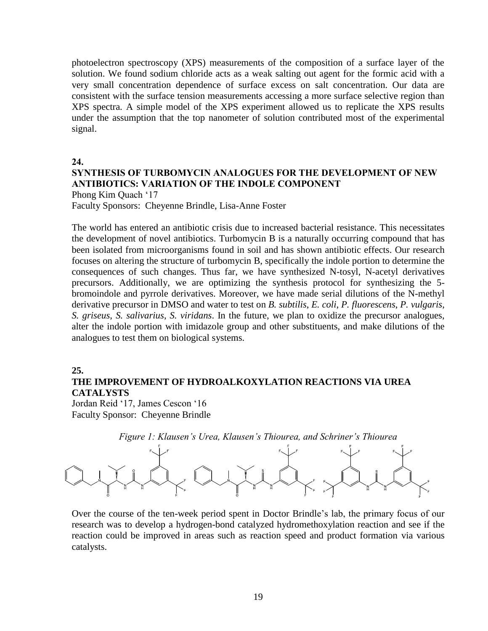photoelectron spectroscopy (XPS) measurements of the composition of a surface layer of the solution. We found sodium chloride acts as a weak salting out agent for the formic acid with a very small concentration dependence of surface excess on salt concentration. Our data are consistent with the surface tension measurements accessing a more surface selective region than XPS spectra. A simple model of the XPS experiment allowed us to replicate the XPS results under the assumption that the top nanometer of solution contributed most of the experimental signal.

**24.**

## **SYNTHESIS OF TURBOMYCIN ANALOGUES FOR THE DEVELOPMENT OF NEW ANTIBIOTICS: VARIATION OF THE INDOLE COMPONENT**

Phong Kim Quach '17

Faculty Sponsors: Cheyenne Brindle, Lisa-Anne Foster

The world has entered an antibiotic crisis due to increased bacterial resistance. This necessitates the development of novel antibiotics. Turbomycin B is a naturally occurring compound that has been isolated from microorganisms found in soil and has shown antibiotic effects. Our research focuses on altering the structure of turbomycin B, specifically the indole portion to determine the consequences of such changes. Thus far, we have synthesized N-tosyl, N-acetyl derivatives precursors. Additionally, we are optimizing the synthesis protocol for synthesizing the 5 bromoindole and pyrrole derivatives. Moreover, we have made serial dilutions of the N-methyl derivative precursor in DMSO and water to test on *B. subtilis*, *E. coli*, *P. fluorescens*, *P. vulgaris*, *S. griseus*, *S. salivarius*, *S. viridans*. In the future, we plan to oxidize the precursor analogues, alter the indole portion with imidazole group and other substituents, and make dilutions of the analogues to test them on biological systems.

#### **25.**

## **THE IMPROVEMENT OF HYDROALKOXYLATION REACTIONS VIA UREA CATALYSTS**

Jordan Reid '17, James Cescon '16 Faculty Sponsor: Cheyenne Brindle



Over the course of the ten-week period spent in Doctor Brindle's lab, the primary focus of our research was to develop a hydrogen-bond catalyzed hydromethoxylation reaction and see if the reaction could be improved in areas such as reaction speed and product formation via various catalysts.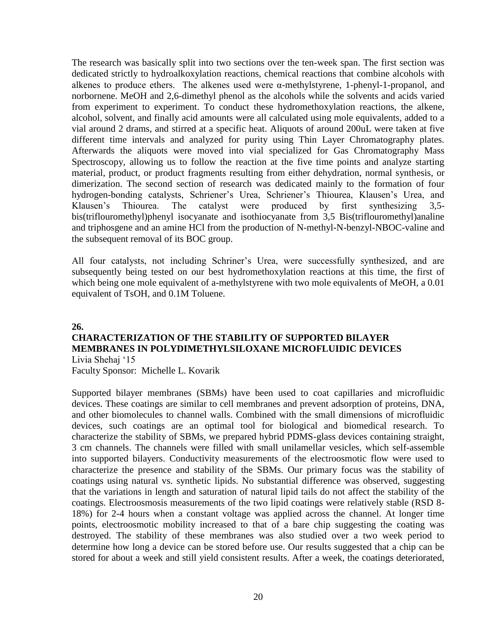The research was basically split into two sections over the ten-week span. The first section was dedicated strictly to hydroalkoxylation reactions, chemical reactions that combine alcohols with alkenes to produce ethers. The alkenes used were α-methylstyrene, 1-phenyl-1-propanol, and norbornene. MeOH and 2,6-dimethyl phenol as the alcohols while the solvents and acids varied from experiment to experiment. To conduct these hydromethoxylation reactions, the alkene, alcohol, solvent, and finally acid amounts were all calculated using mole equivalents, added to a vial around 2 drams, and stirred at a specific heat. Aliquots of around 200uL were taken at five different time intervals and analyzed for purity using Thin Layer Chromatography plates. Afterwards the aliquots were moved into vial specialized for Gas Chromatography Mass Spectroscopy, allowing us to follow the reaction at the five time points and analyze starting material, product, or product fragments resulting from either dehydration, normal synthesis, or dimerization. The second section of research was dedicated mainly to the formation of four hydrogen-bonding catalysts, Schriener's Urea, Schriener's Thiourea, Klausen's Urea, and Klausen's Thiourea. The catalyst were produced by first synthesizing 3,5 bis(triflouromethyl)phenyl isocyanate and isothiocyanate from 3,5 Bis(triflouromethyl)analine and triphosgene and an amine HCl from the production of N-methyl-N-benzyl-NBOC-valine and the subsequent removal of its BOC group.

All four catalysts, not including Schriner's Urea, were successfully synthesized, and are subsequently being tested on our best hydromethoxylation reactions at this time, the first of which being one mole equivalent of a-methylstyrene with two mole equivalents of MeOH, a 0.01 equivalent of TsOH, and 0.1M Toluene.

#### **26.**

## **CHARACTERIZATION OF THE STABILITY OF SUPPORTED BILAYER MEMBRANES IN POLYDIMETHYLSILOXANE MICROFLUIDIC DEVICES**

Livia Shehaj '15 Faculty Sponsor: Michelle L. Kovarik

Supported bilayer membranes (SBMs) have been used to coat capillaries and microfluidic devices. These coatings are similar to cell membranes and prevent adsorption of proteins, DNA, and other biomolecules to channel walls. Combined with the small dimensions of microfluidic devices, such coatings are an optimal tool for biological and biomedical research. To characterize the stability of SBMs, we prepared hybrid PDMS-glass devices containing straight, 3 cm channels. The channels were filled with small unilamellar vesicles, which self-assemble into supported bilayers. Conductivity measurements of the electroosmotic flow were used to characterize the presence and stability of the SBMs. Our primary focus was the stability of coatings using natural vs. synthetic lipids. No substantial difference was observed, suggesting that the variations in length and saturation of natural lipid tails do not affect the stability of the coatings. Electroosmosis measurements of the two lipid coatings were relatively stable (RSD 8- 18%) for 2-4 hours when a constant voltage was applied across the channel. At longer time points, electroosmotic mobility increased to that of a bare chip suggesting the coating was destroyed. The stability of these membranes was also studied over a two week period to determine how long a device can be stored before use. Our results suggested that a chip can be stored for about a week and still yield consistent results. After a week, the coatings deteriorated,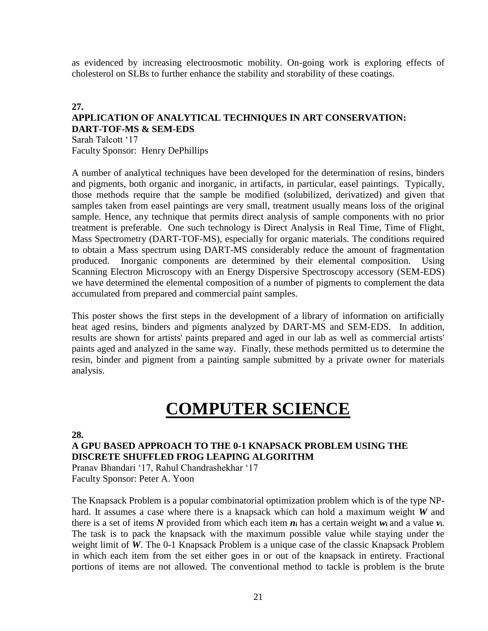as evidenced by increasing electroosmotic mobility. On-going work is exploring effects of cholesterol on SLBs to further enhance the stability and storability of these coatings.

### **27. APPLICATION OF ANALYTICAL TECHNIQUES IN ART CONSERVATION: DART-TOF-MS & SEM-EDS** Sarah Talcott '17 Faculty Sponsor: Henry DePhillips

A number of analytical techniques have been developed for the determination of resins, binders and pigments, both organic and inorganic, in artifacts, in particular, easel paintings. Typically, those methods require that the sample be modified (solubilized, derivatized) and given that samples taken from easel paintings are very small, treatment usually means loss of the original sample. Hence, any technique that permits direct analysis of sample components with no prior treatment is preferable. One such technology is Direct Analysis in Real Time, Time of Flight, Mass Spectrometry (DART-TOF-MS), especially for organic materials. The conditions required to obtain a Mass spectrum using DART-MS considerably reduce the amount of fragmentation produced. Inorganic components are determined by their elemental composition. Using Scanning Electron Microscopy with an Energy Dispersive Spectroscopy accessory (SEM-EDS) we have determined the elemental composition of a number of pigments to complement the data accumulated from prepared and commercial paint samples.

This poster shows the first steps in the development of a library of information on artificially heat aged resins, binders and pigments analyzed by DART-MS and SEM-EDS. In addition, results are shown for artists' paints prepared and aged in our lab as well as commercial artists' paints aged and analyzed in the same way. Finally, these methods permitted us to determine the resin, binder and pigment from a painting sample submitted by a private owner for materials analysis.

## **COMPUTER SCIENCE**

#### **28.**

**A GPU BASED APPROACH TO THE 0-1 KNAPSACK PROBLEM USING THE DISCRETE SHUFFLED FROG LEAPING ALGORITHM**

Pranav Bhandari '17, Rahul Chandrashekhar '17 Faculty Sponsor: Peter A. Yoon

The Knapsack Problem is a popular combinatorial optimization problem which is of the type NPhard. It assumes a case where there is a knapsack which can hold a maximum weight *W* and there is a set of items N provided from which each item  $n_i$  has a certain weight  $w_i$  and a value  $v_i$ . The task is to pack the knapsack with the maximum possible value while staying under the weight limit of *W*. The 0-1 Knapsack Problem is a unique case of the classic Knapsack Problem in which each item from the set either goes in or out of the knapsack in entirety. Fractional portions of items are not allowed. The conventional method to tackle is problem is the brute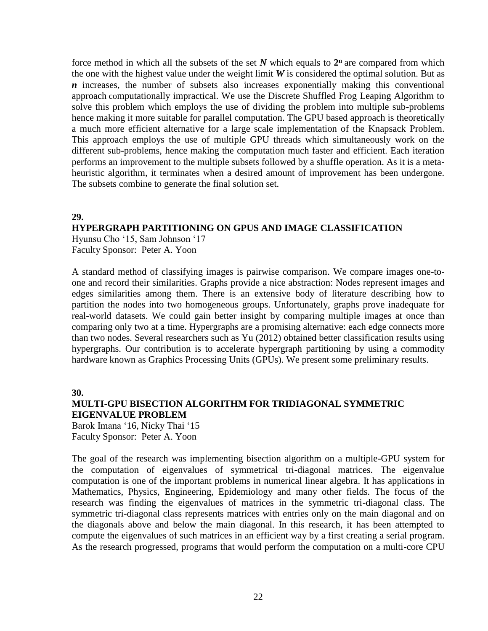force method in which all the subsets of the set  $N$  which equals to  $2^n$  are compared from which the one with the highest value under the weight limit  $W$  is considered the optimal solution. But as *n* increases, the number of subsets also increases exponentially making this conventional approach computationally impractical. We use the Discrete Shuffled Frog Leaping Algorithm to solve this problem which employs the use of dividing the problem into multiple sub-problems hence making it more suitable for parallel computation. The GPU based approach is theoretically a much more efficient alternative for a large scale implementation of the Knapsack Problem. This approach employs the use of multiple GPU threads which simultaneously work on the different sub-problems, hence making the computation much faster and efficient. Each iteration performs an improvement to the multiple subsets followed by a shuffle operation. As it is a metaheuristic algorithm, it terminates when a desired amount of improvement has been undergone. The subsets combine to generate the final solution set.

#### **29.**

#### **HYPERGRAPH PARTITIONING ON GPUS AND IMAGE CLASSIFICATION**

Hyunsu Cho '15, Sam Johnson '17 Faculty Sponsor: Peter A. Yoon

A standard method of classifying images is pairwise comparison. We compare images one-toone and record their similarities. Graphs provide a nice abstraction: Nodes represent images and edges similarities among them. There is an extensive body of literature describing how to partition the nodes into two homogeneous groups. Unfortunately, graphs prove inadequate for real-world datasets. We could gain better insight by comparing multiple images at once than comparing only two at a time. Hypergraphs are a promising alternative: each edge connects more than two nodes. Several researchers such as Yu (2012) obtained better classification results using hypergraphs. Our contribution is to accelerate hypergraph partitioning by using a commodity hardware known as Graphics Processing Units (GPUs). We present some preliminary results.

**30.**

## **MULTI-GPU BISECTION ALGORITHM FOR TRIDIAGONAL SYMMETRIC EIGENVALUE PROBLEM**

Barok Imana '16, Nicky Thai '15 Faculty Sponsor: Peter A. Yoon

The goal of the research was implementing bisection algorithm on a multiple-GPU system for the computation of eigenvalues of symmetrical tri-diagonal matrices. The eigenvalue computation is one of the important problems in numerical linear algebra. It has applications in Mathematics, Physics, Engineering, Epidemiology and many other fields. The focus of the research was finding the eigenvalues of matrices in the symmetric tri-diagonal class. The symmetric tri-diagonal class represents matrices with entries only on the main diagonal and on the diagonals above and below the main diagonal. In this research, it has been attempted to compute the eigenvalues of such matrices in an efficient way by a first creating a serial program. As the research progressed, programs that would perform the computation on a multi-core CPU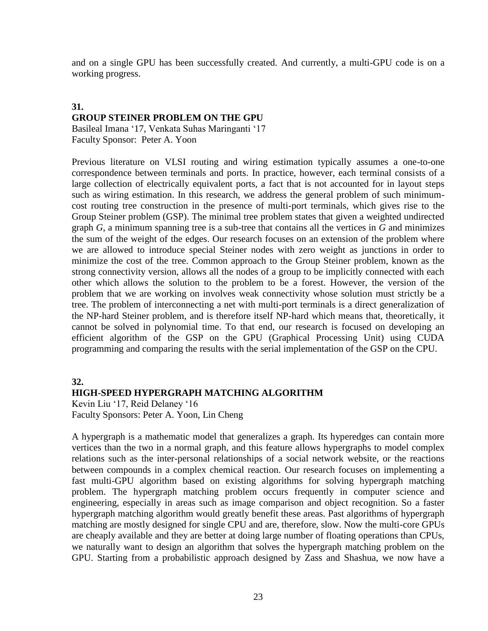and on a single GPU has been successfully created. And currently, a multi-GPU code is on a working progress.

#### **31.**

### **GROUP STEINER PROBLEM ON THE GPU**

Basileal Imana '17, Venkata Suhas Maringanti '17 Faculty Sponsor: Peter A. Yoon

Previous literature on VLSI routing and wiring estimation typically assumes a one-to-one correspondence between terminals and ports. In practice, however, each terminal consists of a large collection of electrically equivalent ports, a fact that is not accounted for in layout steps such as wiring estimation. In this research, we address the general problem of such minimumcost routing tree construction in the presence of multi-port terminals, which gives rise to the Group Steiner problem (GSP). The minimal tree problem states that given a weighted undirected graph *G*, a minimum spanning tree is a sub-tree that contains all the vertices in *G* and minimizes the sum of the weight of the edges. Our research focuses on an extension of the problem where we are allowed to introduce special Steiner nodes with zero weight as junctions in order to minimize the cost of the tree. Common approach to the Group Steiner problem, known as the strong connectivity version, allows all the nodes of a group to be implicitly connected with each other which allows the solution to the problem to be a forest. However, the version of the problem that we are working on involves weak connectivity whose solution must strictly be a tree. The problem of interconnecting a net with multi-port terminals is a direct generalization of the NP-hard Steiner problem, and is therefore itself NP-hard which means that, theoretically, it cannot be solved in polynomial time. To that end, our research is focused on developing an efficient algorithm of the GSP on the GPU (Graphical Processing Unit) using CUDA programming and comparing the results with the serial implementation of the GSP on the CPU.

#### **32.**

#### **HIGH-SPEED HYPERGRAPH MATCHING ALGORITHM**

Kevin Liu '17, Reid Delaney '16 Faculty Sponsors: Peter A. Yoon, Lin Cheng

A hypergraph is a mathematic model that generalizes a graph. Its hyperedges can contain more vertices than the two in a normal graph, and this feature allows hypergraphs to model complex relations such as the inter-personal relationships of a social network website, or the reactions between compounds in a complex chemical reaction. Our research focuses on implementing a fast multi-GPU algorithm based on existing algorithms for solving hypergraph matching problem. The hypergraph matching problem occurs frequently in computer science and engineering, especially in areas such as image comparison and object recognition. So a faster hypergraph matching algorithm would greatly benefit these areas. Past algorithms of hypergraph matching are mostly designed for single CPU and are, therefore, slow. Now the multi-core GPUs are cheaply available and they are better at doing large number of floating operations than CPUs, we naturally want to design an algorithm that solves the hypergraph matching problem on the GPU. Starting from a probabilistic approach designed by Zass and Shashua, we now have a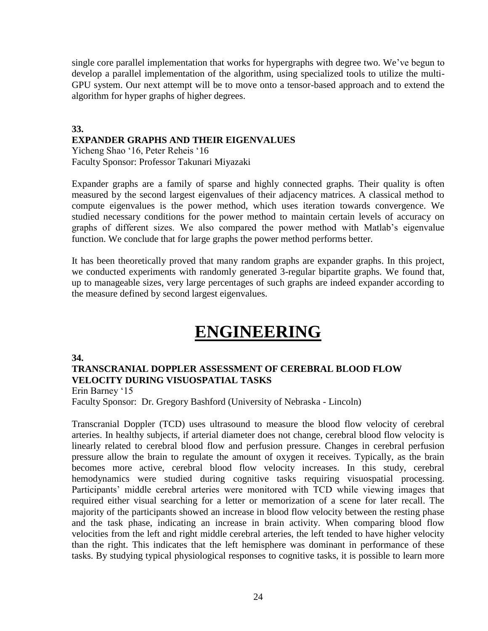single core parallel implementation that works for hypergraphs with degree two. We've begun to develop a parallel implementation of the algorithm, using specialized tools to utilize the multi-GPU system. Our next attempt will be to move onto a tensor-based approach and to extend the algorithm for hyper graphs of higher degrees.

## **33. EXPANDER GRAPHS AND THEIR EIGENVALUES**

Yicheng Shao '16, Peter Reheis '16 Faculty Sponsor: Professor Takunari Miyazaki

Expander graphs are a family of sparse and highly connected graphs. Their quality is often measured by the second largest eigenvalues of their adjacency matrices. A classical method to compute eigenvalues is the power method, which uses iteration towards convergence. We studied necessary conditions for the power method to maintain certain levels of accuracy on graphs of different sizes. We also compared the power method with Matlab's eigenvalue function. We conclude that for large graphs the power method performs better.

It has been theoretically proved that many random graphs are expander graphs. In this project, we conducted experiments with randomly generated 3-regular bipartite graphs. We found that, up to manageable sizes, very large percentages of such graphs are indeed expander according to the measure defined by second largest eigenvalues.

## **ENGINEERING**

#### **34.**

## **TRANSCRANIAL DOPPLER ASSESSMENT OF CEREBRAL BLOOD FLOW VELOCITY DURING VISUOSPATIAL TASKS**

Erin Barney '15

Faculty Sponsor: Dr. Gregory Bashford (University of Nebraska - Lincoln)

Transcranial Doppler (TCD) uses ultrasound to measure the blood flow velocity of cerebral arteries. In healthy subjects, if arterial diameter does not change, cerebral blood flow velocity is linearly related to cerebral blood flow and perfusion pressure. Changes in cerebral perfusion pressure allow the brain to regulate the amount of oxygen it receives. Typically, as the brain becomes more active, cerebral blood flow velocity increases. In this study, cerebral hemodynamics were studied during cognitive tasks requiring visuospatial processing. Participants' middle cerebral arteries were monitored with TCD while viewing images that required either visual searching for a letter or memorization of a scene for later recall. The majority of the participants showed an increase in blood flow velocity between the resting phase and the task phase, indicating an increase in brain activity. When comparing blood flow velocities from the left and right middle cerebral arteries, the left tended to have higher velocity than the right. This indicates that the left hemisphere was dominant in performance of these tasks. By studying typical physiological responses to cognitive tasks, it is possible to learn more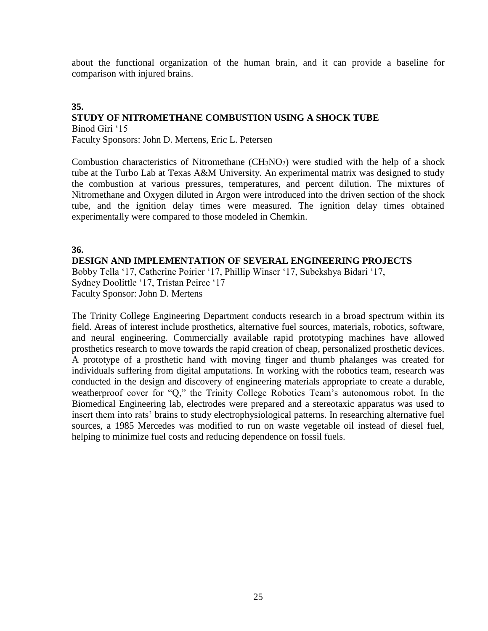about the functional organization of the human brain, and it can provide a baseline for comparison with injured brains.

## **35. STUDY OF NITROMETHANE COMBUSTION USING A SHOCK TUBE** Binod Giri '15

Faculty Sponsors: John D. Mertens, Eric L. Petersen

Combustion characteristics of Nitromethane  $(CH_3NO_2)$  were studied with the help of a shock tube at the Turbo Lab at Texas A&M University. An experimental matrix was designed to study the combustion at various pressures, temperatures, and percent dilution. The mixtures of Nitromethane and Oxygen diluted in Argon were introduced into the driven section of the shock tube, and the ignition delay times were measured. The ignition delay times obtained experimentally were compared to those modeled in Chemkin.

**36.**

**DESIGN AND IMPLEMENTATION OF SEVERAL ENGINEERING PROJECTS**

Bobby Tella '17, Catherine Poirier '17, Phillip Winser '17, Subekshya Bidari '17, Sydney Doolittle '17, Tristan Peirce '17 Faculty Sponsor: John D. Mertens

The Trinity College Engineering Department conducts research in a broad spectrum within its field. Areas of interest include prosthetics, alternative fuel sources, materials, robotics, software, and neural engineering. Commercially available rapid prototyping machines have allowed prosthetics research to move towards the rapid creation of cheap, personalized prosthetic devices. A prototype of a prosthetic hand with moving finger and thumb phalanges was created for individuals suffering from digital amputations. In working with the robotics team, research was conducted in the design and discovery of engineering materials appropriate to create a durable, weatherproof cover for "Q," the Trinity College Robotics Team's autonomous robot. In the Biomedical Engineering lab, electrodes were prepared and a stereotaxic apparatus was used to insert them into rats' brains to study electrophysiological patterns. In researching alternative fuel sources, a 1985 Mercedes was modified to run on waste vegetable oil instead of diesel fuel, helping to minimize fuel costs and reducing dependence on fossil fuels.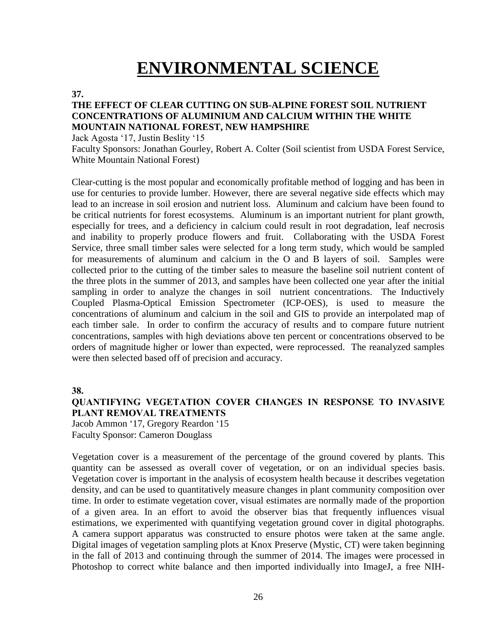## **ENVIRONMENTAL SCIENCE**

#### **37.**

#### **THE EFFECT OF CLEAR CUTTING ON SUB-ALPINE FOREST SOIL NUTRIENT CONCENTRATIONS OF ALUMINIUM AND CALCIUM WITHIN THE WHITE MOUNTAIN NATIONAL FOREST, NEW HAMPSHIRE**

Jack Agosta '17, Justin Beslity '15

Faculty Sponsors: Jonathan Gourley, Robert A. Colter (Soil scientist from USDA Forest Service, White Mountain National Forest)

Clear-cutting is the most popular and economically profitable method of logging and has been in use for centuries to provide lumber. However, there are several negative side effects which may lead to an increase in soil erosion and nutrient loss. Aluminum and calcium have been found to be critical nutrients for forest ecosystems. Aluminum is an important nutrient for plant growth, especially for trees, and a deficiency in calcium could result in root degradation, leaf necrosis and inability to properly produce flowers and fruit. Collaborating with the USDA Forest Service, three small timber sales were selected for a long term study, which would be sampled for measurements of aluminum and calcium in the O and B layers of soil. Samples were collected prior to the cutting of the timber sales to measure the baseline soil nutrient content of the three plots in the summer of 2013, and samples have been collected one year after the initial sampling in order to analyze the changes in soil nutrient concentrations. The Inductively Coupled Plasma-Optical Emission Spectrometer (ICP-OES), is used to measure the concentrations of aluminum and calcium in the soil and GIS to provide an interpolated map of each timber sale. In order to confirm the accuracy of results and to compare future nutrient concentrations, samples with high deviations above ten percent or concentrations observed to be orders of magnitude higher or lower than expected, were reprocessed. The reanalyzed samples were then selected based off of precision and accuracy.

**38.**

### **QUANTIFYING VEGETATION COVER CHANGES IN RESPONSE TO INVASIVE PLANT REMOVAL TREATMENTS**

Jacob Ammon '17, Gregory Reardon '15 Faculty Sponsor: Cameron Douglass

Vegetation cover is a measurement of the percentage of the ground covered by plants. This quantity can be assessed as overall cover of vegetation, or on an individual species basis. Vegetation cover is important in the analysis of ecosystem health because it describes vegetation density, and can be used to quantitatively measure changes in plant community composition over time. In order to estimate vegetation cover, visual estimates are normally made of the proportion of a given area. In an effort to avoid the observer bias that frequently influences visual estimations, we experimented with quantifying vegetation ground cover in digital photographs. A camera support apparatus was constructed to ensure photos were taken at the same angle. Digital images of vegetation sampling plots at Knox Preserve (Mystic, CT) were taken beginning in the fall of 2013 and continuing through the summer of 2014. The images were processed in Photoshop to correct white balance and then imported individually into ImageJ, a free NIH-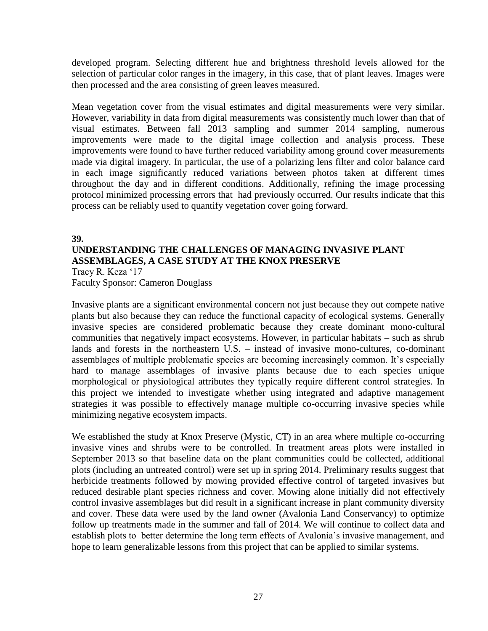developed program. Selecting different hue and brightness threshold levels allowed for the selection of particular color ranges in the imagery, in this case, that of plant leaves. Images were then processed and the area consisting of green leaves measured.

Mean vegetation cover from the visual estimates and digital measurements were very similar. However, variability in data from digital measurements was consistently much lower than that of visual estimates. Between fall 2013 sampling and summer 2014 sampling, numerous improvements were made to the digital image collection and analysis process. These improvements were found to have further reduced variability among ground cover measurements made via digital imagery. In particular, the use of a polarizing lens filter and color balance card in each image significantly reduced variations between photos taken at different times throughout the day and in different conditions. Additionally, refining the image processing protocol minimized processing errors that had previously occurred. Our results indicate that this process can be reliably used to quantify vegetation cover going forward.

#### **39.**

## **UNDERSTANDING THE CHALLENGES OF MANAGING INVASIVE PLANT ASSEMBLAGES, A CASE STUDY AT THE KNOX PRESERVE**

Tracy R. Keza '17 Faculty Sponsor: Cameron Douglass

Invasive plants are a significant environmental concern not just because they out compete native plants but also because they can reduce the functional capacity of ecological systems. Generally invasive species are considered problematic because they create dominant mono-cultural communities that negatively impact ecosystems. However, in particular habitats – such as shrub lands and forests in the northeastern U.S. – instead of invasive mono-cultures, co-dominant assemblages of multiple problematic species are becoming increasingly common. It's especially hard to manage assemblages of invasive plants because due to each species unique morphological or physiological attributes they typically require different control strategies. In this project we intended to investigate whether using integrated and adaptive management strategies it was possible to effectively manage multiple co-occurring invasive species while minimizing negative ecosystem impacts.

We established the study at Knox Preserve (Mystic, CT) in an area where multiple co-occurring invasive vines and shrubs were to be controlled. In treatment areas plots were installed in September 2013 so that baseline data on the plant communities could be collected, additional plots (including an untreated control) were set up in spring 2014. Preliminary results suggest that herbicide treatments followed by mowing provided effective control of targeted invasives but reduced desirable plant species richness and cover. Mowing alone initially did not effectively control invasive assemblages but did result in a significant increase in plant community diversity and cover. These data were used by the land owner (Avalonia Land Conservancy) to optimize follow up treatments made in the summer and fall of 2014. We will continue to collect data and establish plots to better determine the long term effects of Avalonia's invasive management, and hope to learn generalizable lessons from this project that can be applied to similar systems.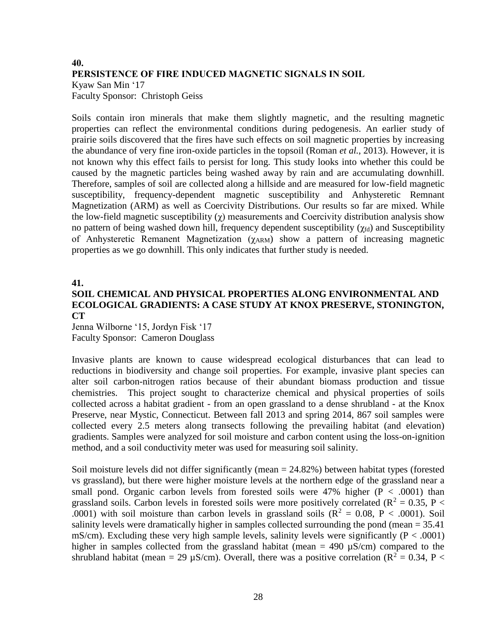## **40. PERSISTENCE OF FIRE INDUCED MAGNETIC SIGNALS IN SOIL** Kyaw San Min '17 Faculty Sponsor: Christoph Geiss

Soils contain iron minerals that make them slightly magnetic, and the resulting magnetic properties can reflect the environmental conditions during pedogenesis. An earlier study of prairie soils discovered that the fires have such effects on soil magnetic properties by increasing the abundance of very fine iron-oxide particles in the topsoil (Roman *et al.*, 2013). However, it is not known why this effect fails to persist for long. This study looks into whether this could be caused by the magnetic particles being washed away by rain and are accumulating downhill. Therefore, samples of soil are collected along a hillside and are measured for low-field magnetic susceptibility, frequency-dependent magnetic susceptibility and Anhysteretic Remnant Magnetization (ARM) as well as Coercivity Distributions. Our results so far are mixed. While the low-field magnetic susceptibility  $(\gamma)$  measurements and Coercivity distribution analysis show no pattern of being washed down hill, frequency dependent susceptibility  $(\gamma_{fd})$  and Susceptibility of Anhysteretic Remanent Magnetization (γ<sub>ARM</sub>) show a pattern of increasing magnetic properties as we go downhill. This only indicates that further study is needed.

### **41. SOIL CHEMICAL AND PHYSICAL PROPERTIES ALONG ENVIRONMENTAL AND ECOLOGICAL GRADIENTS: A CASE STUDY AT KNOX PRESERVE, STONINGTON, CT**

Jenna Wilborne '15, Jordyn Fisk '17 Faculty Sponsor: Cameron Douglass

Invasive plants are known to cause widespread ecological disturbances that can lead to reductions in biodiversity and change soil properties. For example, invasive plant species can alter soil carbon-nitrogen ratios because of their abundant biomass production and tissue chemistries. This project sought to characterize chemical and physical properties of soils collected across a habitat gradient - from an open grassland to a dense shrubland - at the Knox Preserve, near Mystic, Connecticut. Between fall 2013 and spring 2014, 867 soil samples were collected every 2.5 meters along transects following the prevailing habitat (and elevation) gradients. Samples were analyzed for soil moisture and carbon content using the loss-on-ignition method, and a soil conductivity meter was used for measuring soil salinity.

Soil moisture levels did not differ significantly (mean = 24.82%) between habitat types (forested vs grassland), but there were higher moisture levels at the northern edge of the grassland near a small pond. Organic carbon levels from forested soils were  $47\%$  higher (P < .0001) than grassland soils. Carbon levels in forested soils were more positively correlated ( $R^2 = 0.35$ ,  $P <$ .0001) with soil moisture than carbon levels in grassland soils ( $R^2 = 0.08$ ,  $P < .0001$ ). Soil salinity levels were dramatically higher in samples collected surrounding the pond (mean = 35.41 mS/cm). Excluding these very high sample levels, salinity levels were significantly ( $P < .0001$ ) higher in samples collected from the grassland habitat (mean  $= 490 \mu S/cm$ ) compared to the shrubland habitat (mean = 29 µS/cm). Overall, there was a positive correlation ( $R^2 = 0.34$ , P <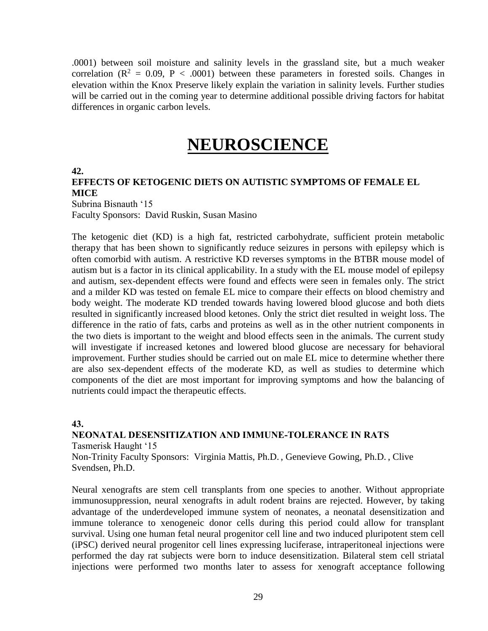.0001) between soil moisture and salinity levels in the grassland site, but a much weaker correlation ( $R^2 = 0.09$ ,  $P < .0001$ ) between these parameters in forested soils. Changes in elevation within the Knox Preserve likely explain the variation in salinity levels. Further studies will be carried out in the coming year to determine additional possible driving factors for habitat differences in organic carbon levels.

## **NEUROSCIENCE**

**42.**

### **EFFECTS OF KETOGENIC DIETS ON AUTISTIC SYMPTOMS OF FEMALE EL MICE**

Subrina Bisnauth '15 Faculty Sponsors: David Ruskin, Susan Masino

The ketogenic diet (KD) is a high fat, restricted carbohydrate, sufficient protein metabolic therapy that has been shown to significantly reduce seizures in persons with epilepsy which is often comorbid with autism. A restrictive KD reverses symptoms in the BTBR mouse model of autism but is a factor in its clinical applicability. In a study with the EL mouse model of epilepsy and autism, sex-dependent effects were found and effects were seen in females only. The strict and a milder KD was tested on female EL mice to compare their effects on blood chemistry and body weight. The moderate KD trended towards having lowered blood glucose and both diets resulted in significantly increased blood ketones. Only the strict diet resulted in weight loss. The difference in the ratio of fats, carbs and proteins as well as in the other nutrient components in the two diets is important to the weight and blood effects seen in the animals. The current study will investigate if increased ketones and lowered blood glucose are necessary for behavioral improvement. Further studies should be carried out on male EL mice to determine whether there are also sex-dependent effects of the moderate KD, as well as studies to determine which components of the diet are most important for improving symptoms and how the balancing of nutrients could impact the therapeutic effects.

**43.**

**NEONATAL DESENSITIZATION AND IMMUNE-TOLERANCE IN RATS** Tasmerisk Haught '15 Non-Trinity Faculty Sponsors: Virginia Mattis, Ph.D. , Genevieve Gowing, Ph.D. , Clive

Svendsen, Ph.D.

Neural xenografts are stem cell transplants from one species to another. Without appropriate immunosuppression, neural xenografts in adult rodent brains are rejected. However, by taking advantage of the underdeveloped immune system of neonates, a neonatal desensitization and immune tolerance to xenogeneic donor cells during this period could allow for transplant survival. Using one human fetal neural progenitor cell line and two induced pluripotent stem cell (iPSC) derived neural progenitor cell lines expressing luciferase, intraperitoneal injections were performed the day rat subjects were born to induce desensitization. Bilateral stem cell striatal injections were performed two months later to assess for xenograft acceptance following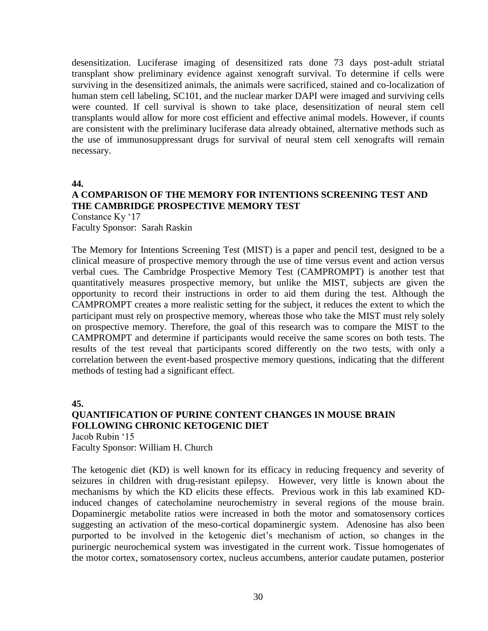desensitization. Luciferase imaging of desensitized rats done 73 days post-adult striatal transplant show preliminary evidence against xenograft survival. To determine if cells were surviving in the desensitized animals, the animals were sacrificed, stained and co-localization of human stem cell labeling, SC101, and the nuclear marker DAPI were imaged and surviving cells were counted. If cell survival is shown to take place, desensitization of neural stem cell transplants would allow for more cost efficient and effective animal models. However, if counts are consistent with the preliminary luciferase data already obtained, alternative methods such as the use of immunosuppressant drugs for survival of neural stem cell xenografts will remain necessary.

#### **44.**

## **A COMPARISON OF THE MEMORY FOR INTENTIONS SCREENING TEST AND THE CAMBRIDGE PROSPECTIVE MEMORY TEST**

Constance Ky '17 Faculty Sponsor: Sarah Raskin

The Memory for Intentions Screening Test (MIST) is a paper and pencil test, designed to be a clinical measure of prospective memory through the use of time versus event and action versus verbal cues. The Cambridge Prospective Memory Test (CAMPROMPT) is another test that quantitatively measures prospective memory, but unlike the MIST, subjects are given the opportunity to record their instructions in order to aid them during the test. Although the CAMPROMPT creates a more realistic setting for the subject, it reduces the extent to which the participant must rely on prospective memory, whereas those who take the MIST must rely solely on prospective memory. Therefore, the goal of this research was to compare the MIST to the CAMPROMPT and determine if participants would receive the same scores on both tests. The results of the test reveal that participants scored differently on the two tests, with only a correlation between the event-based prospective memory questions, indicating that the different methods of testing had a significant effect.

**45.**

### **QUANTIFICATION OF PURINE CONTENT CHANGES IN MOUSE BRAIN FOLLOWING CHRONIC KETOGENIC DIET**

Jacob Rubin '15 Faculty Sponsor: William H. Church

The ketogenic diet (KD) is well known for its efficacy in reducing frequency and severity of seizures in children with drug-resistant epilepsy. However, very little is known about the mechanisms by which the KD elicits these effects. Previous work in this lab examined KDinduced changes of catecholamine neurochemistry in several regions of the mouse brain. Dopaminergic metabolite ratios were increased in both the motor and somatosensory cortices suggesting an activation of the meso-cortical dopaminergic system. Adenosine has also been purported to be involved in the ketogenic diet's mechanism of action, so changes in the purinergic neurochemical system was investigated in the current work. Tissue homogenates of the motor cortex, somatosensory cortex, nucleus accumbens, anterior caudate putamen, posterior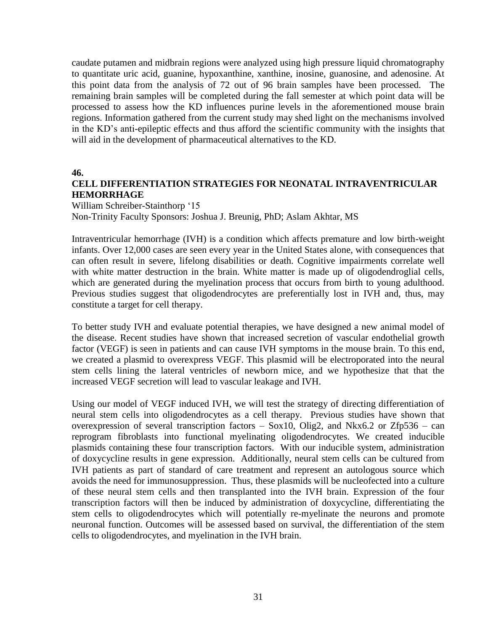caudate putamen and midbrain regions were analyzed using high pressure liquid chromatography to quantitate uric acid, guanine, hypoxanthine, xanthine, inosine, guanosine, and adenosine. At this point data from the analysis of 72 out of 96 brain samples have been processed. The remaining brain samples will be completed during the fall semester at which point data will be processed to assess how the KD influences purine levels in the aforementioned mouse brain regions. Information gathered from the current study may shed light on the mechanisms involved in the KD's anti-epileptic effects and thus afford the scientific community with the insights that will aid in the development of pharmaceutical alternatives to the KD.

**46.**

### **CELL DIFFERENTIATION STRATEGIES FOR NEONATAL INTRAVENTRICULAR HEMORRHAGE**

William Schreiber-Stainthorp '15 Non-Trinity Faculty Sponsors: Joshua J. Breunig, PhD; Aslam Akhtar, MS

Intraventricular hemorrhage (IVH) is a condition which affects premature and low birth-weight infants. Over 12,000 cases are seen every year in the United States alone, with consequences that can often result in severe, lifelong disabilities or death. Cognitive impairments correlate well with white matter destruction in the brain. White matter is made up of oligodendroglial cells, which are generated during the myelination process that occurs from birth to young adulthood. Previous studies suggest that oligodendrocytes are preferentially lost in IVH and, thus, may constitute a target for cell therapy.

To better study IVH and evaluate potential therapies, we have designed a new animal model of the disease. Recent studies have shown that increased secretion of vascular endothelial growth factor (VEGF) is seen in patients and can cause IVH symptoms in the mouse brain. To this end, we created a plasmid to overexpress VEGF. This plasmid will be electroporated into the neural stem cells lining the lateral ventricles of newborn mice, and we hypothesize that that the increased VEGF secretion will lead to vascular leakage and IVH.

Using our model of VEGF induced IVH, we will test the strategy of directing differentiation of neural stem cells into oligodendrocytes as a cell therapy. Previous studies have shown that overexpression of several transcription factors  $-$  Sox10, Olig2, and Nkx6.2 or Zfp536 – can reprogram fibroblasts into functional myelinating oligodendrocytes. We created inducible plasmids containing these four transcription factors. With our inducible system, administration of doxycycline results in gene expression. Additionally, neural stem cells can be cultured from IVH patients as part of standard of care treatment and represent an autologous source which avoids the need for immunosuppression. Thus, these plasmids will be nucleofected into a culture of these neural stem cells and then transplanted into the IVH brain. Expression of the four transcription factors will then be induced by administration of doxycycline, differentiating the stem cells to oligodendrocytes which will potentially re-myelinate the neurons and promote neuronal function. Outcomes will be assessed based on survival, the differentiation of the stem cells to oligodendrocytes, and myelination in the IVH brain.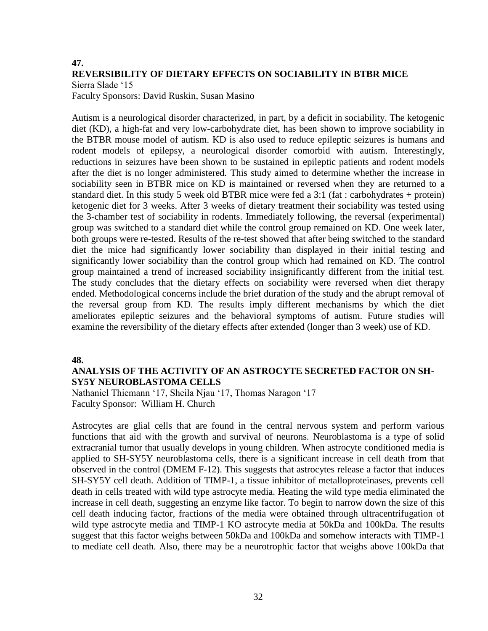### **47. REVERSIBILITY OF DIETARY EFFECTS ON SOCIABILITY IN BTBR MICE**

Sierra Slade '15

Faculty Sponsors: David Ruskin, Susan Masino

Autism is a neurological disorder characterized, in part, by a deficit in sociability. The ketogenic diet (KD), a high-fat and very low-carbohydrate diet, has been shown to improve sociability in the BTBR mouse model of autism. KD is also used to reduce epileptic seizures is humans and rodent models of epilepsy, a neurological disorder comorbid with autism. Interestingly, reductions in seizures have been shown to be sustained in epileptic patients and rodent models after the diet is no longer administered. This study aimed to determine whether the increase in sociability seen in BTBR mice on KD is maintained or reversed when they are returned to a standard diet. In this study 5 week old BTBR mice were fed a 3:1 (fat : carbohydrates + protein) ketogenic diet for 3 weeks. After 3 weeks of dietary treatment their sociability was tested using the 3-chamber test of sociability in rodents. Immediately following, the reversal (experimental) group was switched to a standard diet while the control group remained on KD. One week later, both groups were re-tested. Results of the re-test showed that after being switched to the standard diet the mice had significantly lower sociability than displayed in their initial testing and significantly lower sociability than the control group which had remained on KD. The control group maintained a trend of increased sociability insignificantly different from the initial test. The study concludes that the dietary effects on sociability were reversed when diet therapy ended. Methodological concerns include the brief duration of the study and the abrupt removal of the reversal group from KD. The results imply different mechanisms by which the diet ameliorates epileptic seizures and the behavioral symptoms of autism. Future studies will examine the reversibility of the dietary effects after extended (longer than 3 week) use of KD.

### **48.**

## **ANALYSIS OF THE ACTIVITY OF AN ASTROCYTE SECRETED FACTOR ON SH-SY5Y NEUROBLASTOMA CELLS**

Nathaniel Thiemann '17, Sheila Njau '17, Thomas Naragon '17 Faculty Sponsor: William H. Church

Astrocytes are glial cells that are found in the central nervous system and perform various functions that aid with the growth and survival of neurons. Neuroblastoma is a type of solid extracranial tumor that usually develops in young children. When astrocyte conditioned media is applied to SH-SY5Y neuroblastoma cells, there is a significant increase in cell death from that observed in the control (DMEM F-12). This suggests that astrocytes release a factor that induces SH-SY5Y cell death. Addition of TIMP-1, a tissue inhibitor of metalloproteinases, prevents cell death in cells treated with wild type astrocyte media. Heating the wild type media eliminated the increase in cell death, suggesting an enzyme like factor. To begin to narrow down the size of this cell death inducing factor, fractions of the media were obtained through ultracentrifugation of wild type astrocyte media and TIMP-1 KO astrocyte media at 50kDa and 100kDa. The results suggest that this factor weighs between 50kDa and 100kDa and somehow interacts with TIMP-1 to mediate cell death. Also, there may be a neurotrophic factor that weighs above 100kDa that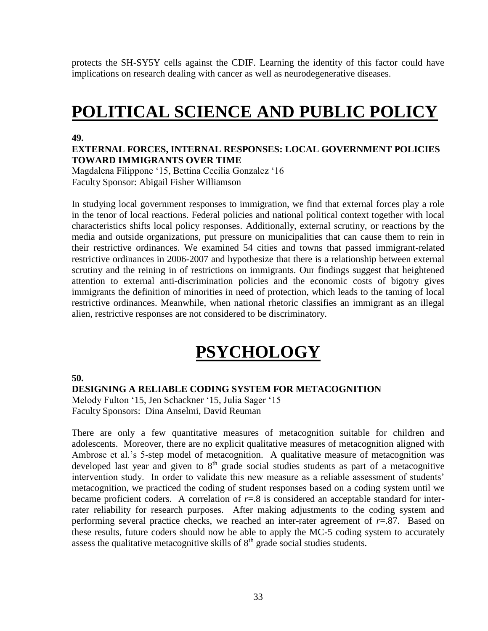protects the SH-SY5Y cells against the CDIF. Learning the identity of this factor could have implications on research dealing with cancer as well as neurodegenerative diseases.

## **POLITICAL SCIENCE AND PUBLIC POLICY**

#### **49.**

#### **EXTERNAL FORCES, INTERNAL RESPONSES: LOCAL GOVERNMENT POLICIES TOWARD IMMIGRANTS OVER TIME**

Magdalena Filippone '15, Bettina Cecilia Gonzalez '16 Faculty Sponsor: Abigail Fisher Williamson

In studying local government responses to immigration, we find that external forces play a role in the tenor of local reactions. Federal policies and national political context together with local characteristics shifts local policy responses. Additionally, external scrutiny, or reactions by the media and outside organizations, put pressure on municipalities that can cause them to rein in their restrictive ordinances. We examined 54 cities and towns that passed immigrant-related restrictive ordinances in 2006-2007 and hypothesize that there is a relationship between external scrutiny and the reining in of restrictions on immigrants. Our findings suggest that heightened attention to external anti-discrimination policies and the economic costs of bigotry gives immigrants the definition of minorities in need of protection, which leads to the taming of local restrictive ordinances. Meanwhile, when national rhetoric classifies an immigrant as an illegal alien, restrictive responses are not considered to be discriminatory.

# **PSYCHOLOGY**

#### **50.**

#### **DESIGNING A RELIABLE CODING SYSTEM FOR METACOGNITION**

Melody Fulton '15, Jen Schackner '15, Julia Sager '15 Faculty Sponsors: Dina Anselmi, David Reuman

There are only a few quantitative measures of metacognition suitable for children and adolescents. Moreover, there are no explicit qualitative measures of metacognition aligned with Ambrose et al.'s 5-step model of metacognition. A qualitative measure of metacognition was developed last year and given to 8<sup>th</sup> grade social studies students as part of a metacognitive intervention study. In order to validate this new measure as a reliable assessment of students' metacognition, we practiced the coding of student responses based on a coding system until we became proficient coders. A correlation of  $r=0.8$  is considered an acceptable standard for interrater reliability for research purposes. After making adjustments to the coding system and performing several practice checks, we reached an inter-rater agreement of *r*=.87. Based on these results, future coders should now be able to apply the MC-5 coding system to accurately assess the qualitative metacognitive skills of  $8<sup>th</sup>$  grade social studies students.